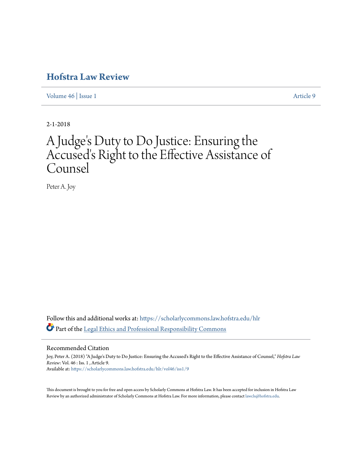# **[Hofstra Law Review](https://scholarlycommons.law.hofstra.edu/hlr?utm_source=scholarlycommons.law.hofstra.edu%2Fhlr%2Fvol46%2Fiss1%2F9&utm_medium=PDF&utm_campaign=PDFCoverPages)**

[Volume 46](https://scholarlycommons.law.hofstra.edu/hlr/vol46?utm_source=scholarlycommons.law.hofstra.edu%2Fhlr%2Fvol46%2Fiss1%2F9&utm_medium=PDF&utm_campaign=PDFCoverPages) | [Issue 1](https://scholarlycommons.law.hofstra.edu/hlr/vol46/iss1?utm_source=scholarlycommons.law.hofstra.edu%2Fhlr%2Fvol46%2Fiss1%2F9&utm_medium=PDF&utm_campaign=PDFCoverPages) [Article 9](https://scholarlycommons.law.hofstra.edu/hlr/vol46/iss1/9?utm_source=scholarlycommons.law.hofstra.edu%2Fhlr%2Fvol46%2Fiss1%2F9&utm_medium=PDF&utm_campaign=PDFCoverPages)

2-1-2018

# A Judge 's Duty to Do Justice: Ensuring the Accused's Right to the Effective Assistance of Counsel

Peter A. Joy

Follow this and additional works at: [https://scholarlycommons.law.hofstra.edu/hlr](https://scholarlycommons.law.hofstra.edu/hlr?utm_source=scholarlycommons.law.hofstra.edu%2Fhlr%2Fvol46%2Fiss1%2F9&utm_medium=PDF&utm_campaign=PDFCoverPages) Part of the [Legal Ethics and Professional Responsibility Commons](http://network.bepress.com/hgg/discipline/895?utm_source=scholarlycommons.law.hofstra.edu%2Fhlr%2Fvol46%2Fiss1%2F9&utm_medium=PDF&utm_campaign=PDFCoverPages)

Recommended Citation

Joy, Peter A. (2018) "A Judge's Duty to Do Justice: Ensuring the Accused's Right to the Effective Assistance of Counsel," *Hofstra Law Review*: Vol. 46 : Iss. 1 , Article 9. Available at: [https://scholarlycommons.law.hofstra.edu/hlr/vol46/iss1/9](https://scholarlycommons.law.hofstra.edu/hlr/vol46/iss1/9?utm_source=scholarlycommons.law.hofstra.edu%2Fhlr%2Fvol46%2Fiss1%2F9&utm_medium=PDF&utm_campaign=PDFCoverPages)

This document is brought to you for free and open access by Scholarly Commons at Hofstra Law. It has been accepted for inclusion in Hofstra Law Review by an authorized administrator of Scholarly Commons at Hofstra Law. For more information, please contact [lawcls@hofstra.edu](mailto:lawcls@hofstra.edu).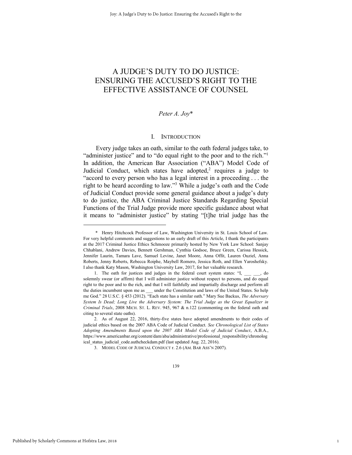## A JUDGE'S DUTY TO DO JUSTICE: ENSURING THE ACCUSED'S RIGHT TO THE EFFECTIVE ASSISTANCE OF COUNSEL

## *Peter A. Joy*\*

## I. INTRODUCTION

Every judge takes an oath, similar to the oath federal judges take, to "administer justice" and to "do equal right to the poor and to the rich."<sup>1</sup> In addition, the American Bar Association ("ABA") Model Code of Judicial Conduct, which states have adopted,<sup>2</sup> requires a judge to "accord to every person who has a legal interest in a proceeding . . . the right to be heard according to law."<sup>3</sup> While a judge's oath and the Code of Judicial Conduct provide some general guidance about a judge's duty to do justice, the ABA Criminal Justice Standards Regarding Special Functions of the Trial Judge provide more specific guidance about what it means to "administer justice" by stating "[t]he trial judge has the

1

 <sup>\*</sup> Henry Hitchcock Professor of Law, Washington University in St. Louis School of Law. For very helpful comments and suggestions to an early draft of this Article, I thank the participants at the 2017 Criminal Justice Ethics Schmooze primarily hosted by New York Law School: Sanjay Chhablani, Andrew Davies, Bennett Gershman, Cynthia Godsoe, Bruce Green, Carissa Hessick, Jennifer Laurin, Tamara Lave, Samuel Levine, Janet Moore, Anna Offit, Lauren Ouziel, Anna Roberts, Jenny Roberts, Rebecca Roiphe, Maybell Romero, Jessica Roth, and Ellen Yaroshefsky. I also thank Katy Mason, Washington University Law, 2017, for her valuable research.

<sup>1.</sup> The oath for justices and judges in the federal court system states: "I, \_\_\_ \_\_, do solemnly swear (or affirm) that I will administer justice without respect to persons, and do equal right to the poor and to the rich, and that I will faithfully and impartially discharge and perform all the duties incumbent upon me as \_\_\_ under the Constitution and laws of the United States. So help me God." 28 U.S.C. § 453 (2012). "Each state has a similar oath." Mary Sue Backus, *The Adversary System Is Dead; Long Live the Adversary System: The Trial Judge as the Great Equalizer in Criminal Trials*, 2008 MICH. ST. L. REV. 945, 967 & n.122 (commenting on the federal oath and citing to several state oaths).

<sup>2.</sup> As of August 22, 2016, thirty-five states have adopted amendments to their codes of judicial ethics based on the 2007 ABA Code of Judicial Conduct. *See Chronological List of States Adopting Amendments Based upon the 2007 ABA Model Code of Judicial Conduct*, A.B.A., https://www.americanbar.org/content/dam/aba/administrative/professional\_responsibility/chronolog ical status judicial code.authcheckdam.pdf (last updated Aug. 22, 2016).

<sup>3.</sup> MODEL CODE OF JUDICIAL CONDUCT r. 2.6 (AM. BAR ASS'N 2007).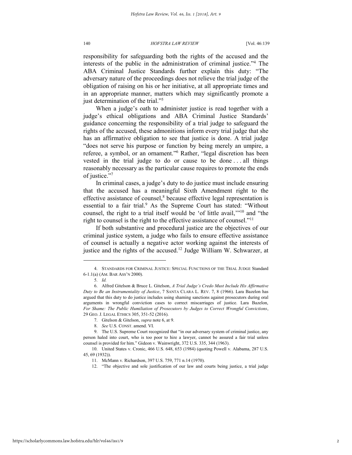responsibility for safeguarding both the rights of the accused and the interests of the public in the administration of criminal justice."<sup>4</sup> The ABA Criminal Justice Standards further explain this duty: "The adversary nature of the proceedings does not relieve the trial judge of the obligation of raising on his or her initiative, at all appropriate times and in an appropriate manner, matters which may significantly promote a just determination of the trial."<sup>5</sup>

When a judge's oath to administer justice is read together with a judge's ethical obligations and ABA Criminal Justice Standards' guidance concerning the responsibility of a trial judge to safeguard the rights of the accused, these admonitions inform every trial judge that she has an affirmative obligation to see that justice is done. A trial judge "does not serve his purpose or function by being merely an umpire, a referee, a symbol, or an ornament." 6 Rather, "legal discretion has been vested in the trial judge to do or cause to be done . . . all things reasonably necessary as the particular cause requires to promote the ends of justice."<sup>7</sup>

In criminal cases, a judge's duty to do justice must include ensuring that the accused has a meaningful Sixth Amendment right to the effective assistance of counsel,<sup>8</sup> because effective legal representation is essential to a fair trial.<sup>9</sup> As the Supreme Court has stated: "Without counsel, the right to a trial itself would be 'of little avail,'" <sup>10</sup> and "the right to counsel is the right to the effective assistance of counsel."<sup>11</sup>

If both substantive and procedural justice are the objectives of our criminal justice system, a judge who fails to ensure effective assistance of counsel is actually a negative actor working against the interests of justice and the rights of the accused.<sup>12</sup> Judge William W. Schwarzer, at

<sup>4.</sup> STANDARDS FOR CRIMINAL JUSTICE: SPECIAL FUNCTIONS OF THE TRIAL JUDGE Standard 6-1.1(a) (AM. BAR ASS'N 2000).

<sup>5.</sup> *Id.*

<sup>6.</sup> Alfred Gitelson & Bruce L. Gitelson, *A Trial Judge's Credo Must Include His Affirmative Duty to Be an Instrumentality of Justice*, 7 SANTA CLARA L. REV. 7, 8 (1966). Lara Bazelon has argued that this duty to do justice includes using shaming sanctions against prosecutors during oral arguments in wrongful conviction cases to correct miscarriages of justice. Lara Bazelon, *For Shame: The Public Humiliation of Prosecutors by Judges to Correct Wrongful Convictions*, 29 GEO. J. LEGAL ETHICS 305, 351-52 (2016).

<sup>7.</sup> Gitelson & Gitelson, *supra* note 6, at 9.

<sup>8.</sup> *See* U.S. CONST. amend. VI.

<sup>9.</sup> The U.S. Supreme Court recognized that "in our adversary system of criminal justice, any person haled into court, who is too poor to hire a lawyer, cannot be assured a fair trial unless counsel is provided for him." Gideon v. Wainwright, 372 U.S. 335, 344 (1963).

<sup>10.</sup> United States v. Cronic, 466 U.S. 648, 653 (1984) (quoting Powell v. Alabama, 287 U.S. 45, 69 (1932)).

<sup>11.</sup> McMann v. Richardson, 397 U.S. 759, 771 n.14 (1970).

<sup>12.</sup> "The objective and sole justification of our law and courts being justice, a trial judge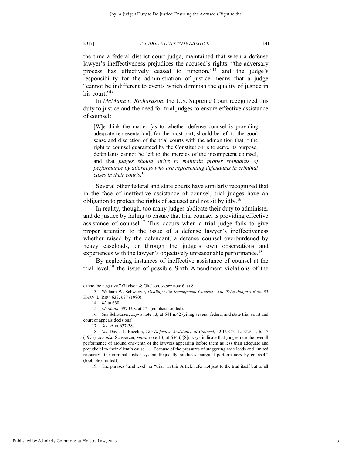the time a federal district court judge, maintained that when a defense lawyer's ineffectiveness prejudices the accused's rights, "the adversary process has effectively ceased to function,"<sup>13</sup> and the judge's responsibility for the administration of justice means that a judge "cannot be indifferent to events which diminish the quality of justice in his court."<sup>14</sup>

In *McMann v. Richardson*, the U.S. Supreme Court recognized this duty to justice and the need for trial judges to ensure effective assistance of counsel:

[W]e think the matter [as to whether defense counsel is providing adequate representation], for the most part, should be left to the good sense and discretion of the trial courts with the admonition that if the right to counsel guaranteed by the Constitution is to serve its purpose, defendants cannot be left to the mercies of the incompetent counsel, and that *judges should strive to maintain proper standards of performance by attorneys who are representing defendants in criminal cases in their courts*. 15

Several other federal and state courts have similarly recognized that in the face of ineffective assistance of counsel, trial judges have an obligation to protect the rights of accused and not sit by idly.<sup>16</sup>

In reality, though, too many judges abdicate their duty to administer and do justice by failing to ensure that trial counsel is providing effective assistance of counsel.<sup>17</sup> This occurs when a trial judge fails to give proper attention to the issue of a defense lawyer's ineffectiveness whether raised by the defendant, a defense counsel overburdened by heavy caseloads, or through the judge's own observations and experiences with the lawyer's objectively unreasonable performance.<sup>18</sup>

By neglecting instances of ineffective assistance of counsel at the trial level, $^{19}$  the issue of possible Sixth Amendment violations of the

cannot be negative." Gitelson & Gitelson, *supra* note 6, at 8.

<sup>13.</sup> William W. Schwarzer, *Dealing with Incompetent Counsel—The Trial Judge's Role*, 93 HARV. L. REV. 633, 637 (1980).

<sup>14.</sup> *Id.* at 638.

<sup>15.</sup> *McMann*, 397 U.S. at 771 (emphasis added).

<sup>16.</sup> *See* Schwarzer, *supra* note 13, at 641 n.42 (citing several federal and state trial court and court of appeals decisions).

<sup>17.</sup> *See id.* at 637-38.

<sup>18.</sup> *See* David L. Bazelon, *The Defective Assistance of Counsel*, 42 U. CIN. L. REV. 1, 6, 17 (1973); *see also* Schwarzer, *supra* note 13, at 634 ("[S]urveys indicate that judges rate the overall performance of around one-tenth of the lawyers appearing before them as less than adequate and prejudicial to their client's cause. . . . Because of the pressures of staggering case loads and limited resources, the criminal justice system frequently produces marginal performances by counsel." (footnote omitted)).

<sup>19.</sup> The phrases "trial level" or "trial" in this Article refer not just to the trial itself but to all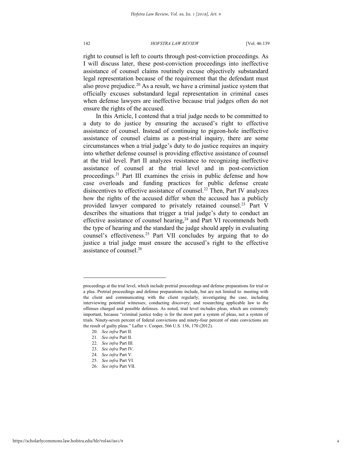right to counsel is left to courts through post-conviction proceedings. As I will discuss later, these post-conviction proceedings into ineffective assistance of counsel claims routinely excuse objectively substandard legal representation because of the requirement that the defendant must also prove prejudice.<sup>20</sup> As a result, we have a criminal justice system that officially excuses substandard legal representation in criminal cases when defense lawyers are ineffective because trial judges often do not ensure the rights of the accused.

In this Article, I contend that a trial judge needs to be committed to a duty to do justice by ensuring the accused's right to effective assistance of counsel. Instead of continuing to pigeon-hole ineffective assistance of counsel claims as a post-trial inquiry, there are some circumstances when a trial judge's duty to do justice requires an inquiry into whether defense counsel is providing effective assistance of counsel at the trial level. Part II analyzes resistance to recognizing ineffective assistance of counsel at the trial level and in post-conviction proceedings.<sup>21</sup> Part III examines the crisis in public defense and how case overloads and funding practices for public defense create disincentives to effective assistance of counsel.<sup>22</sup> Then, Part IV analyzes how the rights of the accused differ when the accused has a publicly provided lawyer compared to privately retained counsel.<sup>23</sup> Part V describes the situations that trigger a trial judge's duty to conduct an effective assistance of counsel hearing,<sup>24</sup> and Part VI recommends both the type of hearing and the standard the judge should apply in evaluating counsel's effectiveness.<sup>25</sup> Part VII concludes by arguing that to do justice a trial judge must ensure the accused's right to the effective assistance of counsel.<sup>26</sup>

proceedings at the trial level, which include pretrial proceedings and defense preparations for trial or a plea. Pretrial proceedings and defense preparations include, but are not limited to: meeting with the client and communicating with the client regularly; investigating the case, including interviewing potential witnesses; conducting discovery; and researching applicable law to the offenses charged and possible defenses. As noted, trial level includes pleas, which are extremely important, because "criminal justice today is for the most part a system of pleas, not a system of trials. Ninety-seven percent of federal convictions and ninety-four percent of state convictions are the result of guilty pleas." Lafler v. Cooper, 566 U.S. 156, 170 (2012).

<sup>20.</sup> *See infra* Part II.

<sup>21.</sup> *See infra* Part II.

<sup>22.</sup> *See infra* Part III.

<sup>23.</sup> *See infra* Part IV.

<sup>24.</sup> *See infra* Part V.

<sup>25.</sup> *See infra* Part VI.

<sup>26.</sup> *See infra* Part VII.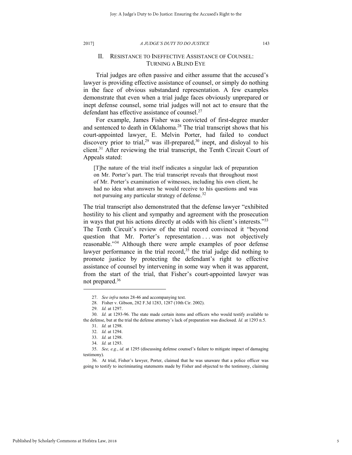## II. RESISTANCE TO INEFFECTIVE ASSISTANCE OF COUNSEL: TURNING A BLIND EYE

Trial judges are often passive and either assume that the accused's lawyer is providing effective assistance of counsel, or simply do nothing in the face of obvious substandard representation. A few examples demonstrate that even when a trial judge faces obviously unprepared or inept defense counsel, some trial judges will not act to ensure that the defendant has effective assistance of counsel.<sup>27</sup>

For example, James Fisher was convicted of first-degree murder and sentenced to death in Oklahoma.<sup>28</sup> The trial transcript shows that his court-appointed lawyer, E. Melvin Porter, had failed to conduct discovery prior to trial,<sup>29</sup> was ill-prepared,<sup>30</sup> inept, and disloyal to his client.<sup>31</sup> After reviewing the trial transcript, the Tenth Circuit Court of Appeals stated:

[T]he nature of the trial itself indicates a singular lack of preparation on Mr. Porter's part. The trial transcript reveals that throughout most of Mr. Porter's examination of witnesses, including his own client, he had no idea what answers he would receive to his questions and was not pursuing any particular strategy of defense.<sup>32</sup>

The trial transcript also demonstrated that the defense lawyer "exhibited hostility to his client and sympathy and agreement with the prosecution in ways that put his actions directly at odds with his client's interests."<sup>33</sup> The Tenth Circuit's review of the trial record convinced it "beyond question that Mr. Porter's representation ... was not objectively reasonable."<sup>34</sup> Although there were ample examples of poor defense lawyer performance in the trial record,<sup>35</sup> the trial judge did nothing to promote justice by protecting the defendant's right to effective assistance of counsel by intervening in some way when it was apparent, from the start of the trial, that Fisher's court-appointed lawyer was not prepared.<sup>36</sup>

<sup>27.</sup> *See infra* notes 28-46 and accompanying text.

<sup>28.</sup> Fisher v. Gibson, 282 F.3d 1283, 1287 (10th Cir. 2002).

<sup>29.</sup> *Id.* at 1297.

<sup>30.</sup> *Id.* at 1293-96. The state made certain items and officers who would testify available to the defense, but at the trial the defense attorney's lack of preparation was disclosed. *Id.* at 1293 n.5.

<sup>31.</sup> *Id.* at 1298.

<sup>32.</sup> *Id.* at 1294.

<sup>33.</sup> *Id.* at 1298.

<sup>34.</sup> *Id.* at 1293.

<sup>35.</sup> *See, e.g.*, *id.* at 1295 (discussing defense counsel's failure to mitigate impact of damaging testimony).

<sup>36.</sup> At trial, Fisher's lawyer, Porter, claimed that he was unaware that a police officer was going to testify to incriminating statements made by Fisher and objected to the testimony, claiming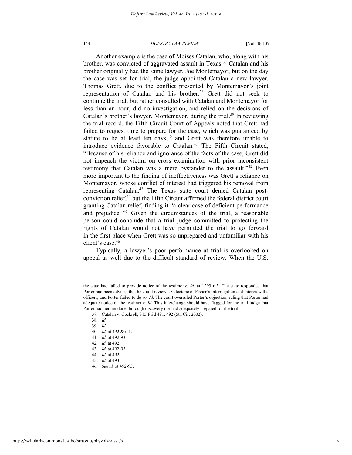Another example is the case of Moises Catalan, who, along with his brother, was convicted of aggravated assault in Texas.<sup>37</sup> Catalan and his brother originally had the same lawyer, Joe Montemayor, but on the day the case was set for trial, the judge appointed Catalan a new lawyer, Thomas Grett, due to the conflict presented by Montemayor's joint representation of Catalan and his brother.<sup>38</sup> Grett did not seek to continue the trial, but rather consulted with Catalan and Montemayor for less than an hour, did no investigation, and relied on the decisions of Catalan's brother's lawyer, Montemayor, during the trial.<sup>39</sup> In reviewing the trial record, the Fifth Circuit Court of Appeals noted that Grett had failed to request time to prepare for the case, which was guaranteed by statute to be at least ten days, $40$  and Grett was therefore unable to introduce evidence favorable to Catalan.<sup>41</sup> The Fifth Circuit stated, "Because of his reliance and ignorance of the facts of the case, Grett did not impeach the victim on cross examination with prior inconsistent testimony that Catalan was a mere bystander to the assault."<sup>42</sup> Even more important to the finding of ineffectiveness was Grett's reliance on Montemayor, whose conflict of interest had triggered his removal from representing Catalan.<sup>43</sup> The Texas state court denied Catalan postconviction relief,<sup>44</sup> but the Fifth Circuit affirmed the federal district court granting Catalan relief, finding it "a clear case of deficient performance and prejudice."<sup>45</sup> Given the circumstances of the trial, a reasonable person could conclude that a trial judge committed to protecting the rights of Catalan would not have permitted the trial to go forward in the first place when Grett was so unprepared and unfamiliar with his client's case.<sup>46</sup>

Typically, a lawyer's poor performance at trial is overlooked on appeal as well due to the difficult standard of review. When the U.S.

the state had failed to provide notice of the testimony. *Id.* at 1293 n.5. The state responded that Porter had been advised that he could review a videotape of Fisher's interrogation and interview the officers, and Porter failed to do so. *Id.* The court overruled Porter's objection, ruling that Porter had adequate notice of the testimony. *Id.* This interchange should have flagged for the trial judge that Porter had neither done thorough discovery nor had adequately prepared for the trial.

<sup>37.</sup> Catalan v. Cockrell, 315 F.3d 491, 492 (5th Cir. 2002).

<sup>38.</sup> *Id.*

<sup>39.</sup> *Id.*

<sup>40.</sup> *Id.* at 492 & n.1.

<sup>41.</sup> *Id.* at 492-93.

<sup>42.</sup> *Id.* at 492.

<sup>43.</sup> *Id.* at 492-93.

<sup>44.</sup> *Id.* at 492.

<sup>45.</sup> *Id.* at 493.

<sup>46.</sup> *See id.* at 492-93.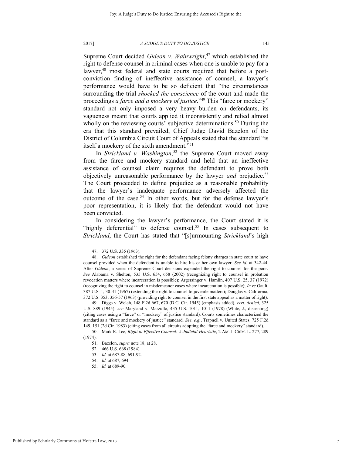Supreme Court decided *Gideon v. Wainwright*, <sup>47</sup> which established the right to defense counsel in criminal cases when one is unable to pay for a lawyer,<sup>48</sup> most federal and state courts required that before a postconviction finding of ineffective assistance of counsel, a lawyer's performance would have to be so deficient that "the circumstances surrounding the trial *shocked the conscience* of the court and made the proceedings *a farce and a mockery of justice*."<sup>49</sup> This "farce or mockery" standard not only imposed a very heavy burden on defendants, its vagueness meant that courts applied it inconsistently and relied almost wholly on the reviewing courts' subjective determinations.<sup>50</sup> During the era that this standard prevailed, Chief Judge David Bazelon of the District of Columbia Circuit Court of Appeals stated that the standard "is itself a mockery of the sixth amendment."<sup>51</sup>

In *Strickland v. Washington*, <sup>52</sup> the Supreme Court moved away from the farce and mockery standard and held that an ineffective assistance of counsel claim requires the defendant to prove both objectively unreasonable performance by the lawyer *and* prejudice.<sup>53</sup> The Court proceeded to define prejudice as a reasonable probability that the lawyer's inadequate performance adversely affected the outcome of the case.<sup>54</sup> In other words, but for the defense lawyer's poor representation, it is likely that the defendant would not have been convicted.

In considering the lawyer's performance, the Court stated it is "highly deferential" to defense counsel.<sup>55</sup> In cases subsequent to *Strickland*, the Court has stated that "[s]urmounting *Strickland*'s high

<sup>47. 372</sup> U.S. 335 (1963).

<sup>48.</sup> *Gideon* established the right for the defendant facing felony charges in state court to have counsel provided when the defendant is unable to hire his or her own lawyer. *See id.* at 342-44. After *Gideon*, a series of Supreme Court decisions expanded the right to counsel for the poor. *See* Alabama v. Shelton, 535 U.S. 654, 658 (2002) (recognizing right to counsel in probation revocation matters where incarceration is possible); Argersinger v. Hamlin, 407 U.S. 25, 37 (1972) (recognizing the right to counsel in misdemeanor cases where incarceration is possible); *In re* Gault, 387 U.S. 1, 30-31 (1967) (extending the right to counsel to juvenile matters); Douglas v. California, 372 U.S. 353, 356-57 (1963) (providing right to counsel in the first state appeal as a matter of right).

<sup>49.</sup> Diggs v. Welch, 148 F.2d 667, 670 (D.C. Cir. 1945) (emphasis added), *cert. denied*, 325 U.S. 889 (1945); *see* Maryland v. Marzullo, 435 U.S. 1011, 1011 (1978) (White, J., dissenting) (citing cases using a "farce" or "mockery" of justice standard). Courts sometimes characterized the standard as a "farce and mockery of justice" standard. *See, e.g.*, Trapnell v. United States, 725 F.2d 149, 151 (2d Cir. 1983) (citing cases from all circuits adopting the "farce and mockery" standard).

<sup>50.</sup> Mark R. Lee, *Right to Effective Counsel: A Judicial Heuristic*, 2 AM. J. CRIM. L. 277, 289 (1974).

<sup>51.</sup> Bazelon, *supra* note 18, at 28.

<sup>52. 466</sup> U.S. 668 (1984).

<sup>53.</sup> *Id.* at 687-88, 691-92.

<sup>54.</sup> *Id.* at 687, 694.

<sup>55.</sup> *Id.* at 689-90.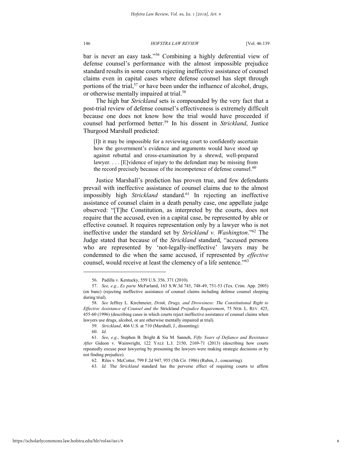bar is never an easy task."<sup>56</sup> Combining a highly deferential view of defense counsel's performance with the almost impossible prejudice standard results in some courts rejecting ineffective assistance of counsel claims even in capital cases where defense counsel has slept through portions of the trial,<sup>57</sup> or have been under the influence of alcohol, drugs, or otherwise mentally impaired at trial.<sup>58</sup>

The high bar *Strickland* sets is compounded by the very fact that a post-trial review of defense counsel's effectiveness is extremely difficult because one does not know how the trial would have proceeded if counsel had performed better.<sup>59</sup> In his dissent in *Strickland*, Justice Thurgood Marshall predicted:

[I]t it may be impossible for a reviewing court to confidently ascertain how the government's evidence and arguments would have stood up against rebuttal and cross-examination by a shrewd, well-prepared lawyer. . . . [E]vidence of injury to the defendant may be missing from the record precisely because of the incompetence of defense counsel.<sup>60</sup>

Justice Marshall's prediction has proven true, and few defendants prevail with ineffective assistance of counsel claims due to the almost impossibly high *Strickland* standard.<sup>61</sup> In rejecting an ineffective assistance of counsel claim in a death penalty case, one appellate judge observed: "[T]he Constitution, as interpreted by the courts, does not require that the accused, even in a capital case, be represented by able or effective counsel. It requires representation only by a lawyer who is not ineffective under the standard set by *Strickland v. Washington*."<sup>62</sup> The Judge stated that because of the *Strickland* standard, "accused persons who are represented by 'not-legally-ineffective' lawyers may be condemned to die when the same accused, if represented by *effective* counsel, would receive at least the clemency of a life sentence."<sup>63</sup>

<sup>56.</sup> Padilla v. Kentucky, 559 U.S. 356, 371 (2010).

<sup>57.</sup> *See, e.g.*, *Ex parte* McFarland, 163 S.W.3d 743, 748-49, 751-53 (Tex. Crim. App. 2005) (en banc) (rejecting ineffective assistance of counsel claims including defense counsel sleeping during trial).

<sup>58.</sup> *See* Jeffrey L. Kirchmeier, *Drink, Drugs, and Drowsiness: The Constitutional Right to Effective Assistance of Counsel and the* Strickland *Prejudice Requirement*, 75 NEB. L. REV. 425, 455-60 (1996) (describing cases in which courts reject ineffective assistance of counsel claims when lawyers use drugs, alcohol, or are otherwise mentally impaired at trial).

<sup>59.</sup> *Strickland*, 466 U.S. at 710 (Marshall, J., dissenting).

<sup>60.</sup> *Id.*

<sup>61.</sup> *See, e.g*., Stephen B. Bright & Sia M. Sanneh, *Fifty Years of Defiance and Resistance After* Gideon v. Wainwright, 122 YALE L.J. 2150, 2169-71 (2013) (describing how courts repeatedly excuse poor lawyering by presuming the lawyers were making strategic decisions or by not finding prejudice).

<sup>62.</sup> Riles v. McCotter, 799 F.2d 947, 955 (5th Cir. 1986) (Rubin, J., concurring).

<sup>63.</sup> *Id.* The *Strickland* standard has the perverse effect of requiring courts to affirm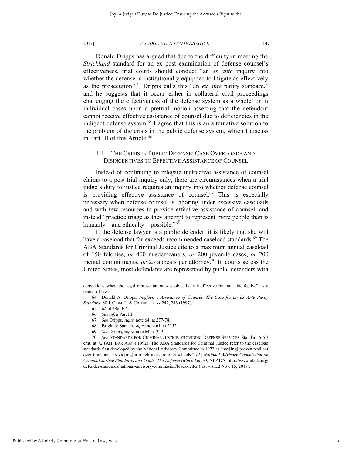Donald Dripps has argued that due to the difficulty in meeting the *Strickland* standard for an ex post examination of defense counsel's effectiveness, trial courts should conduct "an *ex ante* inquiry into whether the defense is institutionally equipped to litigate as effectively as the prosecution."<sup>64</sup> Dripps calls this "an *ex ante* parity standard," and he suggests that it occur either in collateral civil proceedings challenging the effectiveness of the defense system as a whole, or in individual cases upon a pretrial motion asserting that the defendant cannot receive effective assistance of counsel due to deficiencies in the indigent defense system.<sup>65</sup> I agree that this is an alternative solution to the problem of the crisis in the public defense system, which I discuss in Part III of this Article.<sup>66</sup>

## III. THE CRISIS IN PUBLIC DEFENSE: CASE OVERLOADS AND DISINCENTIVES TO EFFECTIVE ASSISTANCE OF COUNSEL

Instead of continuing to relegate ineffective assistance of counsel claims to a post-trial inquiry only, there are circumstances when a trial judge's duty to justice requires an inquiry into whether defense counsel is providing effective assistance of counsel.<sup>67</sup> This is especially necessary when defense counsel is laboring under excessive caseloads and with few resources to provide effective assistance of counsel, and instead "practice triage as they attempt to represent more people than is humanly – and ethically – possible."<sup>68</sup>

If the defense lawyer is a public defender, it is likely that she will have a caseload that far exceeds recommended caseload standards.<sup>69</sup> The ABA Standards for Criminal Justice cite to a maximum annual caseload of 150 felonies, *or* 400 misdemeanors, *or* 200 juvenile cases, *or* 200 mental commitments, *or* 25 appeals per attorney.<sup>70</sup> In courts across the United States, most defendants are represented by public defenders with

convictions when the legal representation was objectively ineffective but not "ineffective" as a matter of law.

<sup>64.</sup> Donald A. Dripps, *Ineffective Assistance of Counsel: The Case for an Ex Ante Parity Standard*, 88 J. CRIM. L. & CRIMINOLOGY 242, 243 (1997).

<sup>65.</sup> *Id.* at 286-306.

<sup>66.</sup> *See infra* Part III.

<sup>67.</sup> *See* Dripps, *supra* note 64, at 277-78.

<sup>68.</sup> Bright & Sanneh, *supra* note 61, at 2152.

<sup>69.</sup> *See* Dripps, *supra* note 64, at 249.

<sup>70.</sup> *See* STANDARDS FOR CRIMINAL JUSTICE: PROVIDING DEFENSE SERVICES Standard 5-5.3 cmt. at 72 (AM. BAR ASS'N 1992). The ABA Standards for Criminal Justice refer to the caseload standards first developed by the National Advisory Committee in 1973 as "hav[ing] proven resilient over time, and provid[ing] a rough measure of caseloads." *Id.*; *National Advisory Commission on Criminal Justice Standards and Goals, The Defense (Black Letter)*, NLADA, http://www.nlada.org/ defender-standards/national-advisory-commission/black-letter (last visited Nov. 15, 2017).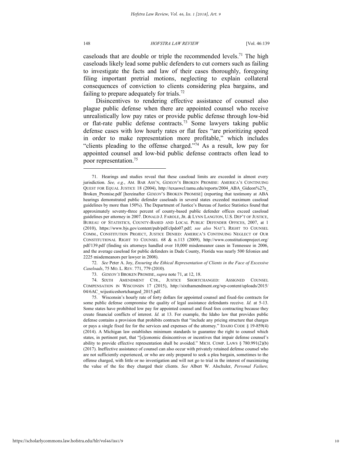caseloads that are double or triple the recommended levels.<sup>71</sup> The high caseloads likely lead some public defenders to cut corners such as failing to investigate the facts and law of their cases thoroughly, foregoing filing important pretrial motions, neglecting to explain collateral consequences of conviction to clients considering plea bargains, and failing to prepare adequately for trials.<sup>72</sup>

Disincentives to rendering effective assistance of counsel also plague public defense when there are appointed counsel who receive unrealistically low pay rates or provide public defense through low-bid or flat-rate public defense contracts.<sup>73</sup> Some lawyers taking public defense cases with low hourly rates or flat fees "are prioritizing speed in order to make representation more profitable," which includes "clients pleading to the offense charged." $\frac{1}{2}$  As a result, low pay for appointed counsel and low-bid public defense contracts often lead to poor representation.<sup>75</sup>

72. *See* Peter A. Joy, *Ensuring the Ethical Representation of Clients in the Face of Excessive Caseloads*, 75 MO. L. REV. 771, 779 (2010).

<sup>71.</sup> Hearings and studies reveal that these caseload limits are exceeded in almost every jurisdiction. *See, e.g.*, AM. BAR ASS'N, *GIDEON*'S BROKEN PROMISE: AMERICA'S CONTINUING QUEST FOR EQUAL JUSTICE 18 (2004), http://texaswcl.tamu.edu/reports/2004\_ABA\_Gideon%27s\_ Broken\_Promise.pdf [hereinafter *GIDEON*'S BROKEN PROMISE] (reporting that testimony at ABA hearings demonstrated public defender caseloads in several states exceeded maximum caseload guidelines by more than 150%). The Department of Justice's Bureau of Justice Statistics found that approximately seventy-three percent of county-based public defender offices exceed caseload guidelines per attorney in 2007. DONALD J. FAROLE, JR. & LYNN LANGTON, U.S. DEP'T OF JUSTICE, BUREAU OF STATISTICS, COUNTY-BASED AND LOCAL PUBLIC DEFENDER OFFICES, 2007, at 1 (2010), https://www.bjs.gov/content/pub/pdf/clpdo07.pdf; *see also* NAT'L RIGHT TO COUNSEL COMM., CONSTITUTION PROJECT, JUSTICE DENIED: AMERICA'S CONTINUING NEGLECT OF OUR CONSTITUTIONAL RIGHT TO COUNSEL 68 & n.113 (2009), http://www.constitutionproject.org/ pdf/139.pdf (finding six attorneys handled over 10,000 misdemeanor cases in Tennessee in 2006, and the average caseload for public defenders in Dade County, Florida was nearly 500 felonies and 2225 misdemeanors per lawyer in 2008).

<sup>73.</sup> *GIDEON'S* BROKEN PROMISE, *supra* note 71, at 12, 18.

<sup>74.</sup> SIXTH AMENDMENT CTR., JUSTICE SHORTCHANGED: ASSIGNED COUNSEL COMPENSATION IN WISCONSIN 17 (2015), http://sixthamendment.org/wp-content/uploads/2015/ 04/6AC\_wijusticeshortchanged\_2015.pdf.

<sup>75.</sup> Wisconsin's hourly rate of forty dollars for appointed counsel and fixed-fee contracts for some public defense compromise the quality of legal assistance defendants receive. *Id.* at 5-13. Some states have prohibited low pay for appointed counsel and fixed fees contracting because they create financial conflicts of interest. *Id.* at 13. For example, the Idaho law that provides public defense contains a provision that prohibits contracts that "include any pricing structure that charges or pays a single fixed fee for the services and expenses of the attorney." IDAHO CODE § 19-859(4) (2014). A Michigan law establishes minimum standards to guarantee the right to counsel which states, in pertinent part, that "[e]conomic disincentives or incentives that impair defense counsel's ability to provide effective representation shall be avoided." MICH. COMP. LAWS § 780.991(2)(b) (2017). Ineffective assistance of counsel can also occur with privately retained defense counsel who are not sufficiently experienced, or who are only prepared to seek a plea bargain, sometimes to the offense charged, with little or no investigation and will not go to trial in the interest of maximizing the value of the fee they charged their clients. *See* Albert W. Alschuler, *Personal Failure,*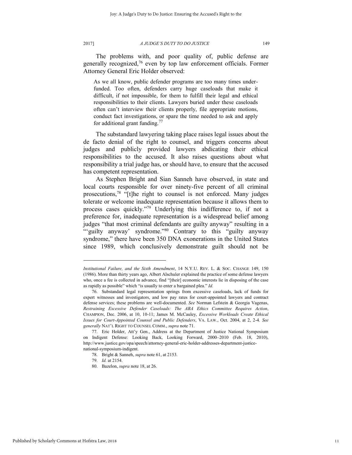The problems with, and poor quality of, public defense are generally recognized,<sup>76</sup> even by top law enforcement officials. Former Attorney General Eric Holder observed:

As we all know, public defender programs are too many times underfunded. Too often, defenders carry huge caseloads that make it difficult, if not impossible, for them to fulfill their legal and ethical responsibilities to their clients. Lawyers buried under these caseloads often can't interview their clients properly, file appropriate motions, conduct fact investigations, or spare the time needed to ask and apply for additional grant funding. $77$ 

The substandard lawyering taking place raises legal issues about the de facto denial of the right to counsel, and triggers concerns about judges and publicly provided lawyers abdicating their ethical responsibilities to the accused. It also raises questions about what responsibility a trial judge has, or should have, to ensure that the accused has competent representation.

As Stephen Bright and Sian Sanneh have observed, in state and local courts responsible for over ninety-five percent of all criminal prosecutions,<sup>78</sup> "[t]he right to counsel is not enforced. Many judges tolerate or welcome inadequate representation because it allows them to process cases quickly."<sup>79</sup> Underlying this indifference to, if not a preference for, inadequate representation is a widespread belief among judges "that most criminal defendants are guilty anyway" resulting in a ""guilty anyway" syndrome."<sup>80</sup> Contrary to this "guilty anyway" syndrome," there have been 350 DNA exonerations in the United States since 1989, which conclusively demonstrate guilt should not be

*Institutional Failure, and the Sixth Amendment*, 14 N.Y.U. REV. L. & SOC. CHANGE 149, 150 (1986). More than thirty years ago, Albert Alschuler explained the practice of some defense lawyers who, once a fee is collected in advance, find "[their] economic interests lie in disposing of the case as rapidly as possible" which "is usually to enter a bargained plea." *Id.*

<sup>76.</sup> Substandard legal representation springs from excessive caseloads, lack of funds for expert witnesses and investigators, and low pay rates for court-appointed lawyers and contract defense services; these problems are well-documented. *See* Norman Lefstein & Georgia Vagenas, *Restraining Excessive Defender Caseloads: The ABA Ethics Committee Requires Action*, CHAMPION, Dec. 2006, at 10, 10-11; James M. McCauley, *Excessive Workloads Create Ethical Issues for Court-Appointed Counsel and Public Defenders*, VA. LAW., Oct. 2004, at 2, 2-4. *See generally* NAT'L RIGHT TO COUNSEL COMM., *supra* note 71.

<sup>77.</sup> Eric Holder, Att'y Gen., Address at the Department of Justice National Symposium on Indigent Defense: Looking Back, Looking Forward, 2000–2010 (Feb. 18, 2010), http://www.justice.gov/opa/speech/attorney-general-eric-holder-addresses-department-justicenational-symposium-indigent.

<sup>78.</sup> Bright & Sanneh, *supra* note 61, at 2153.

<sup>79.</sup> *Id.* at 2154.

<sup>80.</sup> Bazelon, *supra* note 18, at 26.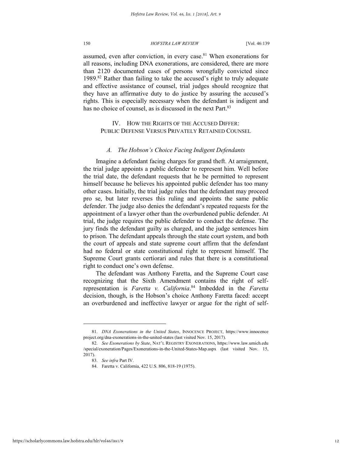assumed, even after conviction, in every case.<sup>81</sup> When exonerations for all reasons, including DNA exonerations, are considered, there are more than 2120 documented cases of persons wrongfully convicted since 1989.<sup>82</sup> Rather than failing to take the accused's right to truly adequate and effective assistance of counsel, trial judges should recognize that they have an affirmative duty to do justice by assuring the accused's rights. This is especially necessary when the defendant is indigent and has no choice of counsel, as is discussed in the next Part.<sup>83</sup>

IV. HOW THE RIGHTS OF THE ACCUSED DIFFER: PUBLIC DEFENSE VERSUS PRIVATELY RETAINED COUNSEL

## *A. The Hobson's Choice Facing Indigent Defendants*

Imagine a defendant facing charges for grand theft. At arraignment, the trial judge appoints a public defender to represent him. Well before the trial date, the defendant requests that he be permitted to represent himself because he believes his appointed public defender has too many other cases. Initially, the trial judge rules that the defendant may proceed pro se, but later reverses this ruling and appoints the same public defender. The judge also denies the defendant's repeated requests for the appointment of a lawyer other than the overburdened public defender. At trial, the judge requires the public defender to conduct the defense. The jury finds the defendant guilty as charged, and the judge sentences him to prison. The defendant appeals through the state court system, and both the court of appeals and state supreme court affirm that the defendant had no federal or state constitutional right to represent himself. The Supreme Court grants certiorari and rules that there is a constitutional right to conduct one's own defense.

The defendant was Anthony Faretta, and the Supreme Court case recognizing that the Sixth Amendment contains the right of selfrepresentation is *Faretta v. California*. <sup>84</sup> Imbedded in the *Faretta* decision, though, is the Hobson's choice Anthony Faretta faced: accept an overburdened and ineffective lawyer or argue for the right of self-

<sup>81.</sup> *DNA Exonerations in the United States*, INNOCENCE PROJECT, https://www.innocence project.org/dna-exonerations-in-the-united-states (last visited Nov. 15, 2017).

<sup>82.</sup> *See Exonerations by State*, NAT'L REGISTRY EXONERATIONS, https://www.law.umich.edu /special/exoneration/Pages/Exonerations-in-the-United-States-Map.aspx (last visited Nov. 15, 2017).

<sup>83.</sup> *See infra* Part IV.

<sup>84.</sup> Faretta v. California, 422 U.S. 806, 818-19 (1975).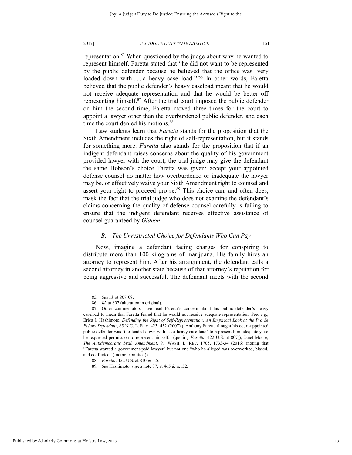representation.<sup>85</sup> When questioned by the judge about why he wanted to represent himself, Faretta stated that "he did not want to be represented by the public defender because he believed that the office was 'very loaded down with . . . a heavy case load."<sup>86</sup> In other words, Faretta believed that the public defender's heavy caseload meant that he would not receive adequate representation and that he would be better off representing himself.<sup>87</sup> After the trial court imposed the public defender on him the second time, Faretta moved three times for the court to appoint a lawyer other than the overburdened public defender, and each time the court denied his motions.<sup>88</sup>

Law students learn that *Faretta* stands for the proposition that the Sixth Amendment includes the right of self-representation, but it stands for something more. *Faretta* also stands for the proposition that if an indigent defendant raises concerns about the quality of his government provided lawyer with the court, the trial judge may give the defendant the same Hobson's choice Faretta was given: accept your appointed defense counsel no matter how overburdened or inadequate the lawyer may be, or effectively waive your Sixth Amendment right to counsel and assert your right to proceed pro  $se^{89}$ . This choice can, and often does, mask the fact that the trial judge who does not examine the defendant's claims concerning the quality of defense counsel carefully is failing to ensure that the indigent defendant receives effective assistance of counsel guaranteed by *Gideon*.

## *B. The Unrestricted Choice for Defendants Who Can Pay*

Now, imagine a defendant facing charges for conspiring to distribute more than 100 kilograms of marijuana. His family hires an attorney to represent him. After his arraignment, the defendant calls a second attorney in another state because of that attorney's reputation for being aggressive and successful. The defendant meets with the second

<sup>85.</sup> *See id.* at 807-08.

<sup>86.</sup> *Id.* at 807 (alteration in original).

<sup>87.</sup> Other commentators have read Faretta's concern about his public defender's heavy caseload to mean that Faretta feared that he would not receive adequate representation. *See, e.g.*, Erica J. Hashimoto, *Defending the Right of Self-Representation: An Empirical Look at the Pro Se Felony Defendant*, 85 N.C. L. REV. 423, 432 (2007) ("Anthony Faretta thought his court-appointed public defender was 'too loaded down with . . . a heavy case load' to represent him adequately, so he requested permission to represent himself." (quoting *Faretta*, 422 U.S. at 807)); Janet Moore, *The Antidemocratic Sixth Amendment*, 91 WASH. L. REV. 1705, 1733-34 (2016) (noting that "Faretta wanted a government-paid lawyer" but not one "who he alleged was overworked, biased, and conflicted" (footnote omitted)).

<sup>88.</sup> *Faretta*, 422 U.S. at 810 & n.5.

<sup>89.</sup> *See* Hashimoto, *supra* note 87, at 465 & n.152.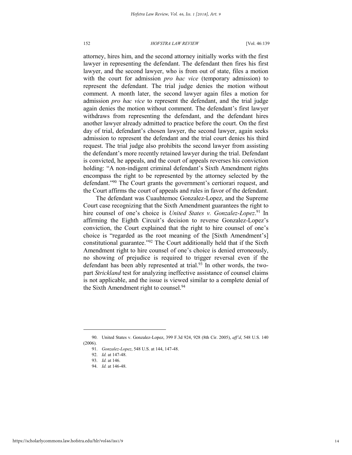attorney, hires him, and the second attorney initially works with the first lawyer in representing the defendant. The defendant then fires his first lawyer, and the second lawyer, who is from out of state, files a motion with the court for admission *pro hac vice* (temporary admission) to represent the defendant. The trial judge denies the motion without comment. A month later, the second lawyer again files a motion for admission *pro hac vice* to represent the defendant, and the trial judge again denies the motion without comment. The defendant's first lawyer withdraws from representing the defendant, and the defendant hires another lawyer already admitted to practice before the court. On the first day of trial, defendant's chosen lawyer, the second lawyer, again seeks admission to represent the defendant and the trial court denies his third request. The trial judge also prohibits the second lawyer from assisting the defendant's more recently retained lawyer during the trial. Defendant is convicted, he appeals, and the court of appeals reverses his conviction holding: "A non-indigent criminal defendant's Sixth Amendment rights encompass the right to be represented by the attorney selected by the defendant."<sup>90</sup> The Court grants the government's certiorari request, and the Court affirms the court of appeals and rules in favor of the defendant.

The defendant was Cuauhtemoc Gonzalez-Lopez, and the Supreme Court case recognizing that the Sixth Amendment guarantees the right to hire counsel of one's choice is *United States v. Gonzalez-Lopez*. <sup>91</sup> In affirming the Eighth Circuit's decision to reverse Gonzalez-Lopez's conviction, the Court explained that the right to hire counsel of one's choice is "regarded as the root meaning of the [Sixth Amendment's] constitutional guarantee."<sup>92</sup> The Court additionally held that if the Sixth Amendment right to hire counsel of one's choice is denied erroneously, no showing of prejudice is required to trigger reversal even if the defendant has been ably represented at trial.<sup>93</sup> In other words, the twopart *Strickland* test for analyzing ineffective assistance of counsel claims is not applicable, and the issue is viewed similar to a complete denial of the Sixth Amendment right to counsel.<sup>94</sup>

<sup>90.</sup> United States v. Gonzalez-Lopez, 399 F.3d 924, 928 (8th Cir. 2005), *aff'd*, 548 U.S. 140 (2006).

<sup>91.</sup> *Gonzalez-Lopez*, 548 U.S. at 144, 147-48.

<sup>92.</sup> *Id.* at 147-48.

<sup>93.</sup> *Id.* at 146.

<sup>94.</sup> *Id.* at 146-48.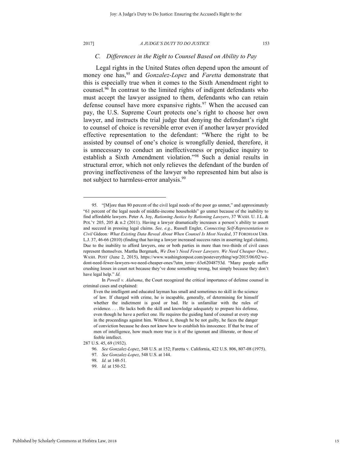l

#### 2017] *A JUDGE'S DUTY TO DO JUSTICE* 153

## *C. Differences in the Right to Counsel Based on Ability to Pay*

Legal rights in the United States often depend upon the amount of money one has,<sup>95</sup> and *Gonzalez-Lopez* and *Faretta* demonstrate that this is especially true when it comes to the Sixth Amendment right to counsel.<sup>96</sup> In contrast to the limited rights of indigent defendants who must accept the lawyer assigned to them, defendants who can retain defense counsel have more expansive rights.<sup>97</sup> When the accused can pay, the U.S. Supreme Court protects one's right to choose her own lawyer, and instructs the trial judge that denying the defendant's right to counsel of choice is reversible error even if another lawyer provided effective representation to the defendant: "Where the right to be assisted by counsel of one's choice is wrongfully denied, therefore, it is unnecessary to conduct an ineffectiveness or prejudice inquiry to establish a Sixth Amendment violation."<sup>98</sup> Such a denial results in structural error, which not only relieves the defendant of the burden of proving ineffectiveness of the lawyer who represented him but also is not subject to harmless-error analysis.<sup>99</sup>

<sup>95.</sup> "[M]ore than 80 percent of the civil legal needs of the poor go unmet," and approximately "61 percent of the legal needs of middle-income households" go unmet because of the inability to find affordable lawyers. Peter A. Joy, *Rationing Justice by Rationing Lawyers*, 37 WASH. U. J.L. & POL'Y 205, 205 & n.2 (2011). Having a lawyer dramatically increases a person's ability to assert and succeed in pressing legal claims. *See, e.g.*, Russell Engler, *Connecting Self-Representation to Civil* Gideon*: What Existing Data Reveal About When Counsel Is Most Needed*, 37 FORDHAM URB. L.J. 37, 46-66 (2010) (finding that having a lawyer increased success rates in asserting legal claims). Due to the inability to afford lawyers, one or both parties in more than two-thirds of civil cases represent themselves. Martha Bergmark, *We Don't Need Fewer Lawyers. We Need Cheaper Ones.*, WASH. POST (June 2, 2015), https://www.washingtonpost.com/posteverything/wp/2015/06/02/wedont-need-fewer-lawyers-we-need-cheaper-ones/?utm\_term=.63e62048753d. "Many people suffer crushing losses in court not because they've done something wrong, but simply because they don't have legal help." *Id.* 

In *Powell v. Alabama*, the Court recognized the critical importance of defense counsel in criminal cases and explained:

Even the intelligent and educated layman has small and sometimes no skill in the science of law. If charged with crime, he is incapable, generally, of determining for himself whether the indictment is good or bad. He is unfamiliar with the rules of evidence. . . . He lacks both the skill and knowledge adequately to prepare his defense, even though he have a perfect one. He requires the guiding hand of counsel at every step in the proceedings against him. Without it, though he be not guilty, he faces the danger of conviction because he does not know how to establish his innocence. If that be true of men of intelligence, how much more true is it of the ignorant and illiterate, or those of feeble intellect.

<sup>287</sup> U.S. 45, 69 (1932).

<sup>96.</sup> *See Gonzalez-Lopez*, 548 U.S. at 152; Faretta v. California, 422 U.S. 806, 807-08 (1975).

<sup>97.</sup> *See Gonzalez-Lopez*, 548 U.S. at 144.

<sup>98.</sup> *Id.* at 148-51.

<sup>99.</sup> *Id.* at 150-52.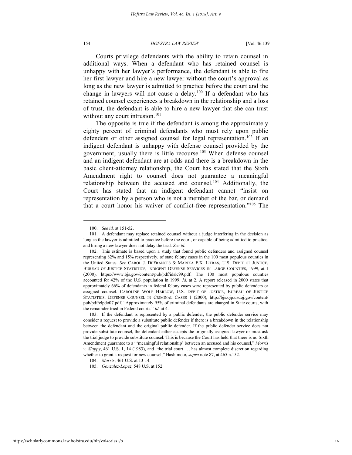Courts privilege defendants with the ability to retain counsel in additional ways. When a defendant who has retained counsel is unhappy with her lawyer's performance, the defendant is able to fire her first lawyer and hire a new lawyer without the court's approval as long as the new lawyer is admitted to practice before the court and the change in lawyers will not cause a delay.<sup>100</sup> If a defendant who has retained counsel experiences a breakdown in the relationship and a loss of trust, the defendant is able to hire a new lawyer that she can trust without any court intrusion. $101$ 

The opposite is true if the defendant is among the approximately eighty percent of criminal defendants who must rely upon public defenders or other assigned counsel for legal representation.<sup>102</sup> If an indigent defendant is unhappy with defense counsel provided by the government, usually there is little recourse.<sup>103</sup> When defense counsel and an indigent defendant are at odds and there is a breakdown in the basic client-attorney relationship, the Court has stated that the Sixth Amendment right to counsel does not guarantee a meaningful relationship between the accused and counsel.<sup>104</sup> Additionally, the Court has stated that an indigent defendant cannot "insist on representation by a person who is not a member of the bar, or demand that a court honor his waiver of conflict-free representation."<sup>105</sup> The

<sup>100.</sup> *See id.* at 151-52.

<sup>101.</sup> A defendant may replace retained counsel without a judge interfering in the decision as long as the lawyer is admitted to practice before the court, or capable of being admitted to practice, and hiring a new lawyer does not delay the trial. *See id.*

<sup>102.</sup> This estimate is based upon a study that found public defenders and assigned counsel representing 82% and 15% respectively, of state felony cases in the 100 most populous counties in the United States. *See* CAROL J. DEFRANCES & MARIKA F.X. LITRAS, U.S. DEP'T OF JUSTICE, BUREAU OF JUSTICE STATISTICS, INDIGENT DEFENSE SERVICES IN LARGE COUNTIES, 1999, at 1 (2000), https://www.bjs.gov/content/pub/pdf/idslc99.pdf. The 100 most populous counties accounted for 42% of the U.S. population in 1999. *Id.* at 2. A report released in 2000 states that approximately 66% of defendants in federal felony cases were represented by public defenders or assigned counsel. CAROLINE WOLF HARLOW, U.S. DEP'T OF JUSTICE, BUREAU OF JUSTICE STATISTICS, DEFENSE COUNSEL IN CRIMINAL CASES 1 (2000), http://bjs.ojp.usdoj.gov/content/ pub/pdf/clpdo07.pdf. "Approximately 95% of criminal defendants are charged in State courts, with the remainder tried in Federal courts." *Id.* at 4.

<sup>103.</sup> If the defendant is represented by a public defender, the public defender service may consider a request to provide a substitute public defender if there is a breakdown in the relationship between the defendant and the original public defender. If the public defender service does not provide substitute counsel, the defendant either accepts the originally assigned lawyer or must ask the trial judge to provide substitute counsel. This is because the Court has held that there is no Sixth Amendment guarantee to a "'meaningful relationship' between an accused and his counsel," *Morris v. Slappy*, 461 U.S. 1, 14 (1983), and "the trial court . . . has almost complete discretion regarding whether to grant a request for new counsel," Hashimoto, *supra* note 87, at 465 n.152.

<sup>104.</sup> *Morris*, 461 U.S. at 13-14.

<sup>105.</sup> *Gonzalez-Lopez*, 548 U.S. at 152.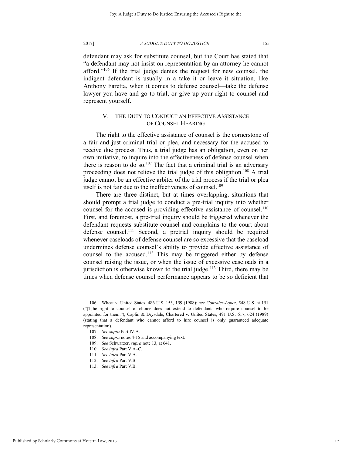defendant may ask for substitute counsel, but the Court has stated that "a defendant may not insist on representation by an attorney he cannot afford."<sup>106</sup> If the trial judge denies the request for new counsel, the indigent defendant is usually in a take it or leave it situation, like Anthony Faretta, when it comes to defense counsel—take the defense lawyer you have and go to trial, or give up your right to counsel and represent yourself.

## V. THE DUTY TO CONDUCT AN EFFECTIVE ASSISTANCE OF COUNSEL HEARING

The right to the effective assistance of counsel is the cornerstone of a fair and just criminal trial or plea, and necessary for the accused to receive due process. Thus, a trial judge has an obligation, even on her own initiative, to inquire into the effectiveness of defense counsel when there is reason to do so.<sup>107</sup> The fact that a criminal trial is an adversary proceeding does not relieve the trial judge of this obligation.<sup>108</sup> A trial judge cannot be an effective arbiter of the trial process if the trial or plea itself is not fair due to the ineffectiveness of counsel.<sup>109</sup>

There are three distinct, but at times overlapping, situations that should prompt a trial judge to conduct a pre-trial inquiry into whether counsel for the accused is providing effective assistance of counsel.<sup>110</sup> First, and foremost, a pre-trial inquiry should be triggered whenever the defendant requests substitute counsel and complains to the court about defense counsel.<sup>111</sup> Second, a pretrial inquiry should be required whenever caseloads of defense counsel are so excessive that the caseload undermines defense counsel's ability to provide effective assistance of counsel to the accused.<sup>112</sup> This may be triggered either by defense counsel raising the issue, or when the issue of excessive caseloads in a jurisdiction is otherwise known to the trial judge.<sup>113</sup> Third, there may be times when defense counsel performance appears to be so deficient that

<sup>106.</sup> Wheat v. United States, 486 U.S. 153, 159 (1988); *see Gonzalez-Lopez*, 548 U.S. at 151 ("[T]he right to counsel of choice does not extend to defendants who require counsel to be appointed for them."); Caplin & Drysdale, Chartered v. United States, 491 U.S. 617, 624 (1989) (stating that a defendant who cannot afford to hire counsel is only guaranteed adequate representation).

<sup>107.</sup> *See supra* Part IV.A.

<sup>108.</sup> *See supra* notes 4-15 and accompanying text.

<sup>109.</sup> *See* Schwarzer, *supra* note 13, at 641.

<sup>110.</sup> *See infra* Part V.A–C.

<sup>111.</sup> *See infra* Part V.A.

<sup>112.</sup> *See infra* Part V.B.

<sup>113.</sup> *See infra* Part V.B.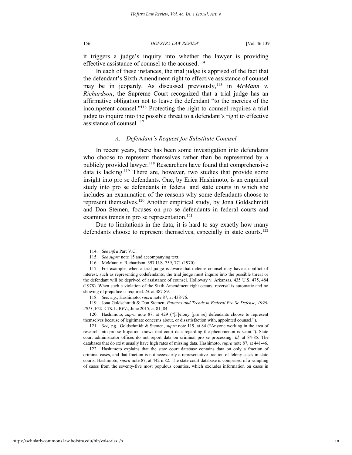it triggers a judge's inquiry into whether the lawyer is providing effective assistance of counsel to the accused.<sup>114</sup>

In each of these instances, the trial judge is apprised of the fact that the defendant's Sixth Amendment right to effective assistance of counsel may be in jeopardy. As discussed previously,<sup>115</sup> in *McMann v. Richardson*, the Supreme Court recognized that a trial judge has an affirmative obligation not to leave the defendant "to the mercies of the incompetent counsel."<sup>116</sup> Protecting the right to counsel requires a trial judge to inquire into the possible threat to a defendant's right to effective assistance of counsel.<sup>117</sup>

## *A. Defendant's Request for Substitute Counsel*

In recent years, there has been some investigation into defendants who choose to represent themselves rather than be represented by a publicly provided lawyer.<sup>118</sup> Researchers have found that comprehensive data is lacking.<sup>119</sup> There are, however, two studies that provide some insight into pro se defendants. One, by Erica Hashimoto, is an empirical study into pro se defendants in federal and state courts in which she includes an examination of the reasons why some defendants choose to represent themselves.<sup>120</sup> Another empirical study, by Jona Goldschmidt and Don Stemen, focuses on pro se defendants in federal courts and examines trends in pro se representation.<sup>121</sup>

Due to limitations in the data, it is hard to say exactly how many defendants choose to represent themselves, especially in state courts.<sup>122</sup>

<sup>114.</sup> *See infra* Part V.C.

<sup>115.</sup> *See supra* note 15 and accompanying text.

<sup>116.</sup> McMann v. Richardson, 397 U.S. 759, 771 (1970).

<sup>117.</sup> For example, when a trial judge is aware that defense counsel may have a conflict of interest, such as representing codefendants, the trial judge must inquire into the possible threat or the defendant will be deprived of assistance of counsel. Holloway v. Arkansas, 435 U.S. 475, 484 (1978). When such a violation of the Sixth Amendment right occurs, reversal is automatic and no showing of prejudice is required. *Id.* at 487-89.

<sup>118.</sup> *See, e.g.*, Hashimoto, *supra* note 87, at 438-76.

<sup>119.</sup> Jona Goldschmidt & Don Stemen, *Patterns and Trends in Federal Pro Se Defense, 1996- 2011*, FED. CTS. L. REV., June 2015, at 81, 84.

<sup>120.</sup> Hashimoto, *supra* note 87, at 429 ("[F]elony [pro se] defendants choose to represent themselves because of legitimate concerns about, or dissatisfaction with, appointed counsel.").

<sup>121.</sup> *See, e.g.*, Goldschmidt & Stemen, *supra* note 119, at 84 ("Anyone working in the area of research into pro se litigation knows that court data regarding the phenomenon is scant."). State court administrator offices do not report data on criminal pro se processing. *Id.* at 84-85. The databases that do exist usually have high rates of missing data. Hashimoto, *supra* note 87, at 441-46.

<sup>122.</sup> Hashimoto explains that the state court database contains data on only a fraction of criminal cases, and that fraction is not necessarily a representative fraction of felony cases in state courts. Hashimoto, *supra* note 87, at 442 n.82. The state court database is comprised of a sampling of cases from the seventy-five most populous counties, which excludes information on cases in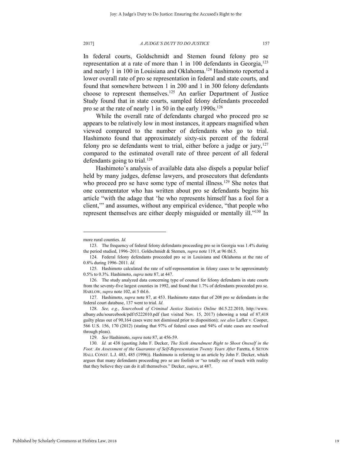In federal courts, Goldschmidt and Stemen found felony pro se representation at a rate of more than 1 in 100 defendants in Georgia,<sup>123</sup> and nearly 1 in 100 in Louisiana and Oklahoma.<sup>124</sup> Hashimoto reported a lower overall rate of pro se representation in federal and state courts, and found that somewhere between 1 in 200 and 1 in 300 felony defendants choose to represent themselves.<sup>125</sup> An earlier Department of Justice Study found that in state courts, sampled felony defendants proceeded pro se at the rate of nearly 1 in 50 in the early 1990s.<sup>126</sup>

While the overall rate of defendants charged who proceed pro se appears to be relatively low in most instances, it appears magnified when viewed compared to the number of defendants who go to trial. Hashimoto found that approximately sixty-six percent of the federal felony pro se defendants went to trial, either before a judge or jury,  $127$ compared to the estimated overall rate of three percent of all federal defendants going to trial.<sup>128</sup>

Hashimoto's analysis of available data also dispels a popular belief held by many judges, defense lawyers, and prosecutors that defendants who proceed pro se have some type of mental illness.<sup>129</sup> She notes that one commentator who has written about pro se defendants begins his article "with the adage that 'he who represents himself has a fool for a client,'" and assumes, without any empirical evidence, "that people who represent themselves are either deeply misguided or mentally ill."<sup>130</sup> In

more rural counties. *Id.*

<sup>123.</sup> The frequency of federal felony defendants proceeding pro se in Georgia was 1.4% during the period studied, 1996–2011. Goldschmidt & Stemen, *supra* note 119, at 96 tbl.5.

<sup>124.</sup> Federal felony defendants proceeded pro se in Louisiana and Oklahoma at the rate of 0.8% during 1996–2011. *Id.*

<sup>125.</sup> Hashimoto calculated the rate of self-representation in felony cases to be approximately 0.5% to 0.3%. Hashimoto, *supra* note 87, at 447.

<sup>126.</sup> The study analyzed data concerning type of counsel for felony defendants in state courts from the seventy-five largest counties in 1992, and found that 1.7% of defendants proceeded pro se. HARLOW, *supra* note 102, at 5 tbl.6.

<sup>127.</sup> Hashimoto, *supra* note 87, at 453. Hashimoto states that of 208 pro se defendants in the federal court database, 137 went to trial. *Id.* 

<sup>128.</sup> *See, e.g.*, *Sourcebook of Criminal Justice Statistics Online* tbl.5.22.2010, http://www. albany.edu/sourcebook/pdf/t5222010.pdf (last visited Nov. 15, 2017) (showing a total of 87,418 guilty pleas out of 90,164 cases were not dismissed prior to disposition); *see also* Lafler v. Cooper, 566 U.S. 156, 170 (2012) (stating that 97% of federal cases and 94% of state cases are resolved through pleas).

<sup>129.</sup> *See* Hashimoto, *supra* note 87, at 456-59.

<sup>130.</sup> *Id.* at 438 (quoting John F. Decker, *The Sixth Amendment Right to Shoot Oneself in the Foot: An Assessment of the Guarantee of Self-Representation Twenty Years After* Faretta, 6 SETON HALL CONST. L.J. 483, 485 (1996)). Hashimoto is referring to an article by John F. Decker, which argues that many defendants proceeding pro se are foolish or "so totally out of touch with reality that they believe they can do it all themselves." Decker, *supra*, at 487.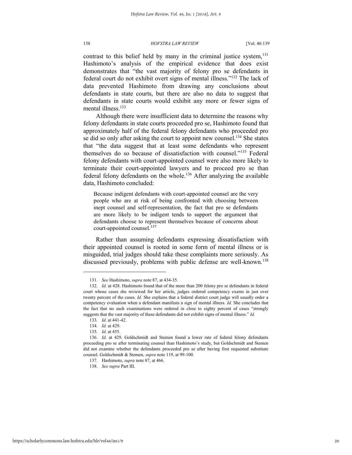contrast to this belief held by many in the criminal justice system, $131$ Hashimoto's analysis of the empirical evidence that does exist demonstrates that "the vast majority of felony pro se defendants in federal court do not exhibit overt signs of mental illness."<sup>132</sup> The lack of data prevented Hashimoto from drawing any conclusions about defendants in state courts, but there are also no data to suggest that defendants in state courts would exhibit any more or fewer signs of mental illness.<sup>133</sup>

Although there were insufficient data to determine the reasons why felony defendants in state courts proceeded pro se, Hashimoto found that approximately half of the federal felony defendants who proceeded pro se did so only after asking the court to appoint new counsel.<sup>134</sup> She states that "the data suggest that at least some defendants who represent themselves do so because of dissatisfaction with counsel."<sup>135</sup> Federal felony defendants with court-appointed counsel were also more likely to terminate their court-appointed lawyers and to proceed pro se than federal felony defendants on the whole.<sup>136</sup> After analyzing the available data, Hashimoto concluded:

Because indigent defendants with court-appointed counsel are the very people who are at risk of being confronted with choosing between inept counsel and self-representation, the fact that pro se defendants are more likely to be indigent tends to support the argument that defendants choose to represent themselves because of concerns about court-appointed counsel.<sup>137</sup>

Rather than assuming defendants expressing dissatisfaction with their appointed counsel is rooted in some form of mental illness or is misguided, trial judges should take these complaints more seriously. As discussed previously, problems with public defense are well-known.<sup>138</sup>

<sup>131.</sup> *See* Hashimoto, *supra* note 87, at 434-35.

<sup>132.</sup> *Id.* at 428. Hashimoto found that of the more than 200 felony pro se defendants in federal court whose cases she reviewed for her article, judges ordered competency exams in just over twenty percent of the cases. *Id.* She explains that a federal district court judge will usually order a competency evaluation when a defendant manifests a sign of mental illness. *Id.* She concludes that the fact that no such examinations were ordered in close to eighty percent of cases "strongly suggests that the vast majority of these defendants did not exhibit signs of mental illness." *Id.*

<sup>133.</sup> *Id.* at 441-42.

<sup>134.</sup> *Id.* at 429.

<sup>135.</sup> *Id.* at 455.

<sup>136.</sup> *Id.* at 429. Goldschmidt and Stemen found a lower rate of federal felony defendants proceeding pro se after terminating counsel than Hashimoto's study, but Goldschmidt and Stemen did not examine whether the defendants proceeded pro se after having first requested substitute counsel. Goldschmidt & Stemen, *supra* note 119, at 99-100.

<sup>137.</sup> Hashimoto, *supra* note 87, at 466.

<sup>138.</sup> *See supra* Part III.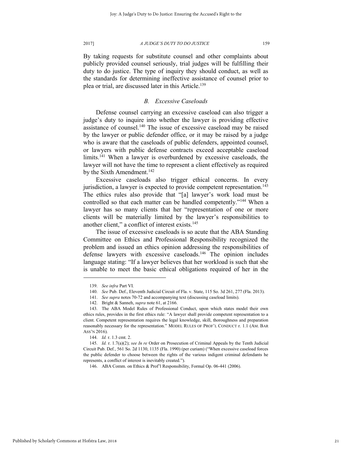By taking requests for substitute counsel and other complaints about publicly provided counsel seriously, trial judges will be fulfilling their duty to do justice. The type of inquiry they should conduct, as well as the standards for determining ineffective assistance of counsel prior to plea or trial, are discussed later in this Article.<sup>139</sup>

## *B. Excessive Caseloads*

Defense counsel carrying an excessive caseload can also trigger a judge's duty to inquire into whether the lawyer is providing effective assistance of counsel.<sup>140</sup> The issue of excessive caseload may be raised by the lawyer or public defender office, or it may be raised by a judge who is aware that the caseloads of public defenders, appointed counsel, or lawyers with public defense contracts exceed acceptable caseload limits.<sup>141</sup> When a lawyer is overburdened by excessive caseloads, the lawyer will not have the time to represent a client effectively as required by the Sixth Amendment.<sup>142</sup>

Excessive caseloads also trigger ethical concerns. In every jurisdiction, a lawyer is expected to provide competent representation.<sup>143</sup> The ethics rules also provide that "[a] lawyer's work load must be controlled so that each matter can be handled competently."<sup>144</sup> When a lawyer has so many clients that her "representation of one or more clients will be materially limited by the lawyer's responsibilities to another client," a conflict of interest exists.<sup>145</sup>

The issue of excessive caseloads is so acute that the ABA Standing Committee on Ethics and Professional Responsibility recognized the problem and issued an ethics opinion addressing the responsibilities of defense lawyers with excessive caseloads.<sup>146</sup> The opinion includes language stating: "If a lawyer believes that her workload is such that she is unable to meet the basic ethical obligations required of her in the

<sup>139.</sup> *See infra* Part VI.

<sup>140.</sup> *See* Pub. Def., Eleventh Judicial Circuit of Fla. v. State, 115 So. 3d 261, 277 (Fla. 2013).

<sup>141.</sup> *See supra* notes 70-72 and accompanying text (discussing caseload limits).

<sup>142.</sup> Bright & Sanneh, *supra* note 61, at 2166.

<sup>143.</sup> The ABA Model Rules of Professional Conduct, upon which states model their own ethics rules, provides in the first ethics rule: "A lawyer shall provide competent representation to a client. Competent representation requires the legal knowledge, skill, thoroughness and preparation reasonably necessary for the representation." MODEL RULES OF PROF'L CONDUCT r. 1.1 (AM. BAR ASS'N 2016).

<sup>144.</sup> *Id.* r. 1.3 cmt. 2.

<sup>145.</sup> *Id.* r. 1.7(a)(2); *see In re* Order on Prosecution of Criminal Appeals by the Tenth Judicial Circuit Pub. Def., 561 So. 2d 1130, 1135 (Fla. 1990) (per curiam) ("When excessive caseload forces the public defender to choose between the rights of the various indigent criminal defendants he represents, a conflict of interest is inevitably created.").

<sup>146.</sup> ABA Comm. on Ethics & Prof'l Responsibility, Formal Op. 06-441 (2006).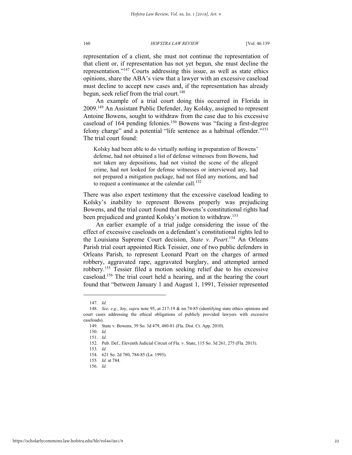representation of a client, she must not continue the representation of that client or, if representation has not yet begun, she must decline the representation."<sup>147</sup> Courts addressing this issue, as well as state ethics opinions, share the ABA's view that a lawyer with an excessive caseload must decline to accept new cases and, if the representation has already begun, seek relief from the trial court.<sup>148</sup>

An example of a trial court doing this occurred in Florida in 2009.<sup>149</sup> An Assistant Public Defender, Jay Kolsky, assigned to represent Antoine Bowens, sought to withdraw from the case due to his excessive caseload of 164 pending felonies.<sup>150</sup> Bowens was "facing a first-degree felony charge" and a potential "life sentence as a habitual offender."<sup>151</sup> The trial court found:

Kolsky had been able to do virtually nothing in preparation of Bowens' defense, had not obtained a list of defense witnesses from Bowens, had not taken any depositions, had not visited the scene of the alleged crime, had not looked for defense witnesses or interviewed any, had not prepared a mitigation package, had not filed any motions, and had to request a continuance at the calendar call.<sup>152</sup>

There was also expert testimony that the excessive caseload leading to Kolsky's inability to represent Bowens properly was prejudicing Bowens, and the trial court found that Bowens's constitutional rights had been prejudiced and granted Kolsky's motion to withdraw.<sup>153</sup>

An earlier example of a trial judge considering the issue of the effect of excessive caseloads on a defendant's constitutional rights led to the Louisiana Supreme Court decision, *State v. Peart*. <sup>154</sup> An Orleans Parish trial court appointed Rick Teissier, one of two public defenders in Orleans Parish, to represent Leonard Peart on the charges of armed robbery, aggravated rape, aggravated burglary, and attempted armed robbery.<sup>155</sup> Tessier filed a motion seeking relief due to his excessive caseload.<sup>156</sup> The trial court held a hearing, and at the hearing the court found that "between January 1 and August 1, 1991, Teissier represented

<sup>147.</sup> *Id.*

<sup>148.</sup> *See, e.g.*, Joy, *supra* note 95, at 217-19 & nn.74-85 (identifying state ethics opinions and court cases addressing the ethical obligations of publicly provided lawyers with excessive caseloads).

<sup>149.</sup> State v. Bowens, 39 So. 3d 479, 480-81 (Fla. Dist. Ct. App. 2010).

<sup>150.</sup> *Id.*

<sup>151.</sup> *Id.*

<sup>152.</sup> Pub. Def., Eleventh Judicial Circuit of Fla. v. State, 115 So. 3d 261, 275 (Fla. 2013).

<sup>153.</sup> *Id.*

<sup>154. 621</sup> So. 2d 780, 784-85 (La. 1993).

<sup>155.</sup> *Id.* at 784.

<sup>156.</sup> *Id.*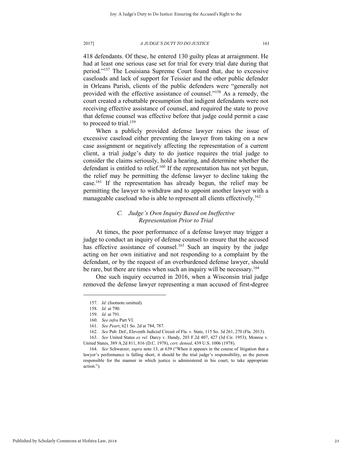418 defendants. Of these, he entered 130 guilty pleas at arraignment. He had at least one serious case set for trial for every trial date during that period."<sup>157</sup> The Louisiana Supreme Court found that, due to excessive caseloads and lack of support for Teissier and the other public defender in Orleans Parish, clients of the public defenders were "generally not provided with the effective assistance of counsel."<sup>158</sup> As a remedy, the court created a rebuttable presumption that indigent defendants were not receiving effective assistance of counsel, and required the state to prove that defense counsel was effective before that judge could permit a case to proceed to trial.<sup>159</sup>

When a publicly provided defense lawyer raises the issue of excessive caseload either preventing the lawyer from taking on a new case assignment or negatively affecting the representation of a current client, a trial judge's duty to do justice requires the trial judge to consider the claims seriously, hold a hearing, and determine whether the defendant is entitled to relief.<sup>160</sup> If the representation has not yet begun, the relief may be permitting the defense lawyer to decline taking the case. <sup>161</sup> If the representation has already begun, the relief may be permitting the lawyer to withdraw and to appoint another lawyer with a manageable caseload who is able to represent all clients effectively.<sup>162</sup>

## *C. Judge's Own Inquiry Based on Ineffective Representation Prior to Trial*

At times, the poor performance of a defense lawyer may trigger a judge to conduct an inquiry of defense counsel to ensure that the accused has effective assistance of counsel.<sup>163</sup> Such an inquiry by the judge acting on her own initiative and not responding to a complaint by the defendant, or by the request of an overburdened defense lawyer, should be rare, but there are times when such an inquiry will be necessary.<sup>164</sup>

One such inquiry occurred in 2016, when a Wisconsin trial judge removed the defense lawyer representing a man accused of first-degree

<sup>157.</sup> *Id.* (footnote omitted).

<sup>158.</sup> *Id.* at 790.

<sup>159.</sup> *Id.* at 791.

<sup>160.</sup> *See infra* Part VI.

<sup>161.</sup> *See Peart*, 621 So. 2d at 784, 787.

<sup>162.</sup> *See* Pub. Def., Eleventh Judicial Circuit of Fla. v. State, 115 So. 3d 261, 270 (Fla. 2013).

<sup>163.</sup> *See* United States *ex rel.* Darcy v. Handy, 203 F.2d 407, 427 (3d Cir. 1953); Monroe v. United States, 389 A.2d 811, 816 (D.C. 1978), *cert. denied*, 439 U.S. 1006 (1978).

<sup>164.</sup> *See* Schwarzer, *supra* note 13, at 639 ("When it appears in the course of litigation that a lawyer's performance is falling short, it should be the trial judge's responsibility, as the person responsible for the manner in which justice is administered in his court, to take appropriate action.").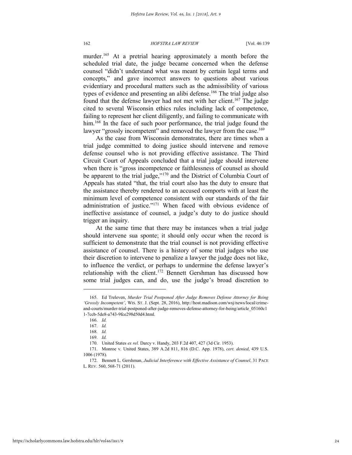murder.<sup>165</sup> At a pretrial hearing approximately a month before the scheduled trial date, the judge became concerned when the defense counsel "didn't understand what was meant by certain legal terms and concepts," and gave incorrect answers to questions about various evidentiary and procedural matters such as the admissibility of various types of evidence and presenting an alibi defense.<sup>166</sup> The trial judge also found that the defense lawyer had not met with her client.<sup>167</sup> The judge cited to several Wisconsin ethics rules including lack of competence, failing to represent her client diligently, and failing to communicate with him.<sup>168</sup> In the face of such poor performance, the trial judge found the lawyer "grossly incompetent" and removed the lawyer from the case.<sup>169</sup>

As the case from Wisconsin demonstrates, there are times when a trial judge committed to doing justice should intervene and remove defense counsel who is not providing effective assistance. The Third Circuit Court of Appeals concluded that a trial judge should intervene when there is "gross incompetence or faithlessness of counsel as should be apparent to the trial judge,"<sup>170</sup> and the District of Columbia Court of Appeals has stated "that, the trial court also has the duty to ensure that the assistance thereby rendered to an accused comports with at least the minimum level of competence consistent with our standards of the fair administration of justice."<sup>171</sup> When faced with obvious evidence of ineffective assistance of counsel, a judge's duty to do justice should trigger an inquiry.

At the same time that there may be instances when a trial judge should intervene sua sponte; it should only occur when the record is sufficient to demonstrate that the trial counsel is not providing effective assistance of counsel. There is a history of some trial judges who use their discretion to intervene to penalize a lawyer the judge does not like, to influence the verdict, or perhaps to undermine the defense lawyer's relationship with the client.<sup>172</sup> Bennett Gershman has discussed how some trial judges can, and do, use the judge's broad discretion to

<sup>165.</sup> Ed Treleven, *Murder Trial Postponed After Judge Removes Defense Attorney for Being 'Grossly Incompetent'*, WIS. ST. J. (Sept. 28, 2016), http://host.madison.com/wsj/news/local/crimeand-courts/murder-trial-postponed-after-judge-removes-defense-attorney-for-being/article\_05160c1 1-7ccb-5de8-a743-9fce298d50d4.html.

<sup>166.</sup> *Id.*

<sup>167.</sup> *Id.*

<sup>168.</sup> *Id.*

<sup>169.</sup> *Id.*

<sup>170.</sup> United States *ex rel.* Darcy v. Handy, 203 F.2d 407, 427 (3d Cir. 1953).

<sup>171.</sup> Monroe v. United States, 389 A.2d 811, 816 (D.C. App. 1978), *cert. denied*, 439 U.S. 1006 (1978).

<sup>172.</sup> Bennett L. Gershman, *Judicial Interference with Effective Assistance of Counsel*, 31 PACE L. REV. 560, 568-71 (2011).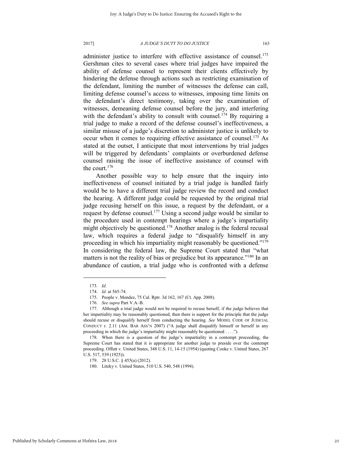administer justice to interfere with effective assistance of counsel.<sup>173</sup> Gershman cites to several cases where trial judges have impaired the ability of defense counsel to represent their clients effectively by hindering the defense through actions such as restricting examination of the defendant, limiting the number of witnesses the defense can call, limiting defense counsel's access to witnesses, imposing time limits on the defendant's direct testimony, taking over the examination of witnesses, demeaning defense counsel before the jury, and interfering with the defendant's ability to consult with counsel.<sup>174</sup> By requiring a trial judge to make a record of the defense counsel's ineffectiveness, a similar misuse of a judge's discretion to administer justice is unlikely to occur when it comes to requiring effective assistance of counsel.<sup>175</sup> As stated at the outset, I anticipate that most interventions by trial judges will be triggered by defendants' complaints or overburdened defense counsel raising the issue of ineffective assistance of counsel with the court.<sup>176</sup>

Another possible way to help ensure that the inquiry into ineffectiveness of counsel initiated by a trial judge is handled fairly would be to have a different trial judge review the record and conduct the hearing. A different judge could be requested by the original trial judge recusing herself on this issue, a request by the defendant, or a request by defense counsel.<sup>177</sup> Using a second judge would be similar to the procedure used in contempt hearings where a judge's impartiality might objectively be questioned.<sup>178</sup> Another analog is the federal recusal law, which requires a federal judge to "disqualify himself in any proceeding in which his impartiality might reasonably be questioned."<sup>179</sup> In considering the federal law, the Supreme Court stated that "what matters is not the reality of bias or prejudice but its appearance."<sup>180</sup> In an abundance of caution, a trial judge who is confronted with a defense

<sup>173.</sup> *Id.*

<sup>174.</sup> *Id.* at 565-74.

<sup>175.</sup> People v. Mendez, 75 Cal. Rptr. 3d 162, 167 (Ct. App. 2008).

<sup>176.</sup> *See supra* Part V.A–B.

<sup>177.</sup> Although a trial judge would not be required to recuse herself, if the judge believes that her impartiality may be reasonably questioned, then there is support for the principle that the judge should recuse or disqualify herself from conducting the hearing. *See* MODEL CODE OF JUDICIAL CONDUCT r. 2.11 (AM. BAR ASS'N 2007) ("A judge shall disqualify himself or herself in any proceeding in which the judge's impartiality might reasonably be questioned . . . .").

<sup>178.</sup> When there is a question of the judge's impartiality in a contempt proceeding, the Supreme Court has stated that it is appropriate for another judge to preside over the contempt proceeding. Offutt v. United States, 348 U.S. 11, 14-15 (1954) (quoting Cooke v. United States, 267 U.S. 517, 539 (1925)).

<sup>179. 28</sup> U.S.C. § 455(a) (2012).

<sup>180.</sup> Liteky v. United States, 510 U.S. 540, 548 (1994).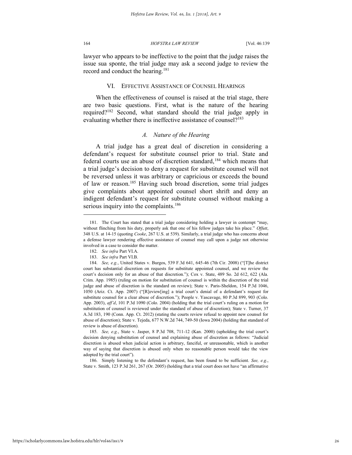l

164 *HOFSTRA LAW REVIEW* [Vol. 46:139

lawyer who appears to be ineffective to the point that the judge raises the issue sua sponte, the trial judge may ask a second judge to review the record and conduct the hearing.<sup>181</sup>

#### VI. EFFECTIVE ASSISTANCE OF COUNSEL HEARINGS

When the effectiveness of counsel is raised at the trial stage, there are two basic questions. First, what is the nature of the hearing required?<sup>182</sup> Second, what standard should the trial judge apply in evaluating whether there is ineffective assistance of counsel?<sup>183</sup>

## *A. Nature of the Hearing*

A trial judge has a great deal of discretion in considering a defendant's request for substitute counsel prior to trial. State and federal courts use an abuse of discretion standard,<sup>184</sup> which means that a trial judge's decision to deny a request for substitute counsel will not be reversed unless it was arbitrary or capricious or exceeds the bound of law or reason.<sup>185</sup> Having such broad discretion, some trial judges give complaints about appointed counsel short shrift and deny an indigent defendant's request for substitute counsel without making a serious inquiry into the complaints.<sup>186</sup>

186. Simply listening to the defendant's request, has been found to be sufficient. *See, e.g.*, State v. Smith, 123 P.3d 261, 267 (Or. 2005) (holding that a trial court does not have "an affirmative

<sup>181.</sup> The Court has stated that a trial judge considering holding a lawyer in contempt "may, without flinching from his duty, properly ask that one of his fellow judges take his place." *Offutt*, 348 U.S. at 14-15 (quoting *Cooke*, 267 U.S. at 539). Similarly, a trial judge who has concerns about a defense lawyer rendering effective assistance of counsel may call upon a judge not otherwise involved in a case to consider the matter.

<sup>182.</sup> *See infra* Part VI.A.

<sup>183.</sup> *See infra* Part VI.B.

<sup>184.</sup> *See, e.g.*, United States v. Burgos, 539 F.3d 641, 645-46 (7th Cir. 2008) ("[T]he district court has substantial discretion on requests for substitute appointed counsel, and we review the court's decision only for an abuse of that discretion."); Cox v. State, 489 So. 2d 612, 622 (Ala. Crim. App. 1985) (ruling on motion for substitution of counsel is within the discretion of the trial judge and abuse of discretion is the standard on review); State v. Paris-Sheldon, 154 P.3d 1046, 1050 (Ariz. Ct. App. 2007) ("[R]eview[ing] a trial court's denial of a defendant's request for substitute counsel for a clear abuse of discretion."); People v. Yascavage, 80 P.3d 899, 903 (Colo. App. 2003), *aff'd*, 101 P.3d 1090 (Colo. 2004) (holding that the trial court's ruling on a motion for substitution of counsel is reviewed under the standard of abuse of discretion); State v. Turner, 37 A.3d 183, 190 (Conn. App. Ct. 2012) (stating the courts review refusal to appoint new counsel for abuse of discretion); State v. Tejeda, 677 N.W.2d 744, 749-50 (Iowa 2004) (holding that standard of review is abuse of discretion).

<sup>185.</sup> *See, e.g.*, State v. Jasper, 8 P.3d 708, 711-12 (Kan. 2000) (upholding the trial court's decision denying substitution of counsel and explaining abuse of discretion as follows: "Judicial discretion is abused when judicial action is arbitrary, fanciful, or unreasonable, which is another way of saying that discretion is abused only when no reasonable person would take the view adopted by the trial court").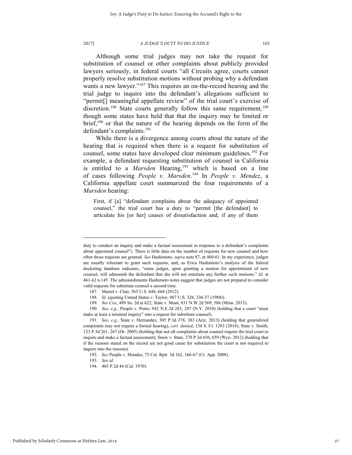Although some trial judges may not take the request for substitution of counsel or other complaints about publicly provided lawyers seriously, in federal courts "all Circuits agree, courts cannot properly resolve substitution motions without probing why a defendant wants a new lawyer."<sup>187</sup> This requires an on-the-record hearing and the trial judge to inquire into the defendant's allegations sufficient to "permit[] meaningful appellate review" of the trial court's exercise of discretion.<sup>188</sup> State courts generally follow this same requirement,<sup>189</sup> though some states have held that that the inquiry may be limited or brief,<sup>190</sup> or that the nature of the hearing depends on the form of the defendant's complaints.<sup>191</sup>

While there is a divergence among courts about the nature of the hearing that is required when there is a request for substitution of counsel, some states have developed clear minimum guidelines.<sup>192</sup> For example, a defendant requesting substitution of counsel in California is entitled to a *Marsden* Hearing,<sup>193</sup> which is based on a line of cases following *People v. Marsden*. <sup>194</sup> In *People v. Mendez*, a California appellate court summarized the four requirements of a *Marsden* hearing:

First, if [a] "defendant complains about the adequacy of appointed counsel," the trial court has a duty to "permit [the defendant] to articulate his [or her] causes of dissatisfaction and, if any of them

duty to conduct an inquiry and make a factual assessment in response to a defendant's complaints about appointed counsel"). There is little data on the number of requests for new counsel and how often those requests are granted. *See* Hashimoto, *supra* note 87, at 460-61. In my experience, judges are usually reluctant to grant such requests, and, as Erica Hashimoto's analysis of the federal docketing database indicates, "some judges, upon granting a motion for appointment of new counsel, will admonish the defendant that she will not entertain any further such motions." *Id.* at 461-62 n.145. The admonishments Hashimoto notes suggest that judges are not prepared to consider valid requests for substitute counsel a second time.

<sup>187.</sup> Martel v. Clair, 565 U.S. 648, 664 (2012).

<sup>188.</sup> *Id.* (quoting United States v. Taylor, 487 U.S. 326, 336-37 (1988)).

<sup>189.</sup> *See Cox*, 489 So. 2d at 622; State v. Munt, 831 N.W.2d 569, 586 (Minn. 2013).

<sup>190.</sup> *See, e.g.*, People v. Porto, 942 N.E.2d 283, 287 (N.Y. 2010) (holding that a court "must make at least a minimal inquiry" into a request for substitute counsel).

<sup>191.</sup> *See, e.g.*, State v. Hernandez, 305 P.3d 378, 383 (Ariz. 2013) (holding that generalized complaints may not require a formal hearing), *cert. denied*, 134 S. Ct. 1283 (2014); State v. Smith, 123 P.3d 261, 267 (Or. 2005) (holding that not all complaints about counsel require the trial court to inquire and make a factual assessment); Snow v. State, 270 P.3d 656, 659 (Wyo. 2012) (holding that if the reasons stated on the record are not good cause for substitution the court is not required to inquire into the reasons).

<sup>192.</sup> *See* People v. Mendez, 75 Cal. Rptr. 3d 162, 166-67 (Ct. App. 2008).

<sup>193.</sup> *See id.*

<sup>194. 465</sup> P.2d 44 (Cal. 1970).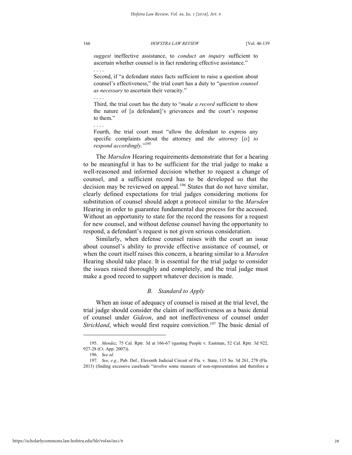*suggest* ineffective assistance, to *conduct an inquiry* sufficient to ascertain whether counsel is in fact rendering effective assistance."

Second, if "a defendant states facts sufficient to raise a question about counsel's effectiveness," the trial court has a duty to "*question counsel as necessary* to ascertain their veracity."

Third, the trial court has the duty to "*make a record* sufficient to show the nature of [a defendant]'s grievances and the court's response to them."

Fourth, the trial court must "allow the defendant to express any specific complaints about the attorney and *the attorney* [*is*] *to respond accordingly*." 195

The *Marsden* Hearing requirements demonstrate that for a hearing to be meaningful it has to be sufficient for the trial judge to make a well-reasoned and informed decision whether to request a change of counsel, and a sufficient record has to be developed so that the decision may be reviewed on appeal.<sup>196</sup> States that do not have similar, clearly defined expectations for trial judges considering motions for substitution of counsel should adopt a protocol similar to the *Marsden* Hearing in order to guarantee fundamental due process for the accused. Without an opportunity to state for the record the reasons for a request for new counsel, and without defense counsel having the opportunity to respond, a defendant's request is not given serious consideration.

Similarly, when defense counsel raises with the court an issue about counsel's ability to provide effective assistance of counsel, or when the court itself raises this concern, a hearing similar to a *Marsden* Hearing should take place. It is essential for the trial judge to consider the issues raised thoroughly and completely, and the trial judge must make a good record to support whatever decision is made.

## *B. Standard to Apply*

When an issue of adequacy of counsel is raised at the trial level, the trial judge should consider the claim of ineffectiveness as a basic denial of counsel under *Gideon*, and not ineffectiveness of counsel under *Strickland*, which would first require conviction.<sup>197</sup> The basic denial of

l

. . . .

. . . .

. . . .

<sup>195.</sup> *Mendez*, 75 Cal. Rptr. 3d at 166-67 (quoting People v. Eastman, 52 Cal. Rptr. 3d 922, 927-28 (Ct. App. 2007)).

<sup>196.</sup> *See id.*

<sup>197.</sup> *See, e.g.*, Pub. Def., Eleventh Judicial Circuit of Fla. v. State, 115 So. 3d 261, 278 (Fla. 2013) (finding excessive caseloads "involve some measure of non-representation and therefore a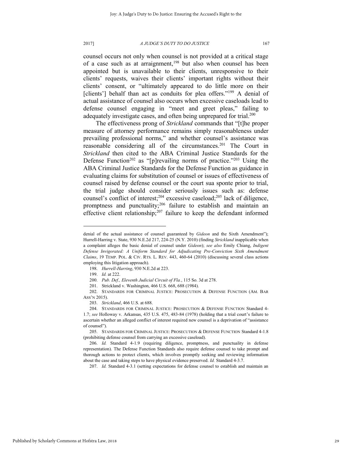counsel occurs not only when counsel is not provided at a critical stage of a case such as at arraignment,<sup>198</sup> but also when counsel has been appointed but is unavailable to their clients, unresponsive to their clients' requests, waives their clients' important rights without their clients' consent, or "ultimately appeared to do little more on their [clients'] behalf than act as conduits for plea offers."<sup>199</sup> A denial of actual assistance of counsel also occurs when excessive caseloads lead to defense counsel engaging in "meet and greet pleas," failing to adequately investigate cases, and often being unprepared for trial.<sup>200</sup>

The effectiveness prong of *Strickland* commands that "[t]he proper measure of attorney performance remains simply reasonableness under prevailing professional norms," and whether counsel's assistance was reasonable considering all of the circumstances.<sup>201</sup> The Court in *Strickland* then cited to the ABA Criminal Justice Standards for the Defense Function<sup>202</sup> as "[p]revailing norms of practice."<sup>203</sup> Using the ABA Criminal Justice Standards for the Defense Function as guidance in evaluating claims for substitution of counsel or issues of effectiveness of counsel raised by defense counsel or the court sua sponte prior to trial, the trial judge should consider seriously issues such as: defense counsel's conflict of interest;<sup>204</sup> excessive caseload;<sup>205</sup> lack of diligence, promptness and punctuality; $206$  failure to establish and maintain an effective client relationship; $207$  failure to keep the defendant informed

denial of the actual assistance of counsel guaranteed by *Gideon* and the Sixth Amendment"); Hurrell-Harring v. State, 930 N.E.2d 217, 224-25 (N.Y. 2010) (finding *Strickland* inapplicable when a complaint alleges the basic denial of counsel under *Gideon*); *see also* Emily Chiang, *Indigent Defense Invigorated: A Uniform Standard for Adjudicating Pre-Conviction Sixth Amendment Claims*, 19 TEMP. POL. & CIV. RTS. L. REV. 443, 460-64 (2010) (discussing several class actions employing this litigation approach).

<sup>198.</sup> *Hurrell-Harring*, 930 N.E.2d at 223.

<sup>199.</sup> *Id.* at 222.

<sup>200.</sup> *Pub. Def., Eleventh Judicial Circuit of Fla.*, 115 So. 3d at 278.

<sup>201.</sup> Strickland v. Washington, 466 U.S. 668, 688 (1984).

<sup>202.</sup> STANDARDS FOR CRIMINAL JUSTICE: PROSECUTION & DEFENSE FUNCTION (AM. BAR ASS'N 2015).

<sup>203.</sup> *Strickland*, 466 U.S. at 688.

<sup>204.</sup> STANDARDS FOR CRIMINAL JUSTICE: PROSECUTION & DEFENSE FUNCTION Standard 4- 1.7; *see* Holloway v. Arkansas, 435 U.S. 475, 483-84 (1978) (holding that a trial court's failure to ascertain whether an alleged conflict of interest required new counsel is a deprivation of "assistance of counsel").

<sup>205.</sup> STANDARDS FOR CRIMINAL JUSTICE: PROSECUTION & DEFENSE FUNCTION Standard 4-1.8 (prohibiting defense counsel from carrying an excessive caseload).

<sup>206.</sup> *Id.* Standard 4-1.9 (requiring diligence, promptness, and punctuality in defense representation). The Defense Function Standards also require defense counsel to take prompt and thorough actions to protect clients, which involves promptly seeking and reviewing information about the case and taking steps to have physical evidence preserved. *Id.* Standard 4-3.7.

<sup>207.</sup> *Id.* Standard 4-3.1 (setting expectations for defense counsel to establish and maintain an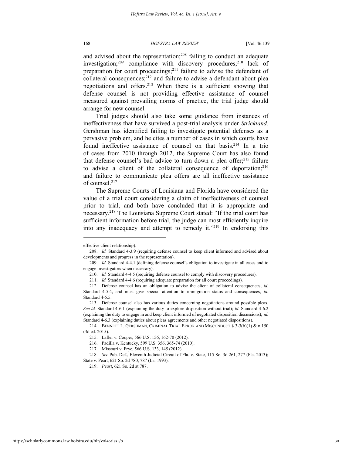and advised about the representation;<sup>208</sup> failing to conduct an adequate investigation;<sup>209</sup> compliance with discovery procedures;<sup>210</sup> lack of preparation for court proceedings;<sup>211</sup> failure to advise the defendant of collateral consequences; $^{212}$  and failure to advise a defendant about plea negotiations and offers.<sup>213</sup> When there is a sufficient showing that defense counsel is not providing effective assistance of counsel measured against prevailing norms of practice, the trial judge should arrange for new counsel.

Trial judges should also take some guidance from instances of ineffectiveness that have survived a post-trial analysis under *Strickland*. Gershman has identified failing to investigate potential defenses as a pervasive problem, and he cites a number of cases in which courts have found ineffective assistance of counsel on that basis.<sup>214</sup> In a trio of cases from 2010 through 2012, the Supreme Court has also found that defense counsel's bad advice to turn down a plea offer; $215$  failure to advise a client of the collateral consequence of deportation; $216$ and failure to communicate plea offers are all ineffective assistance of counsel.<sup>217</sup>

The Supreme Courts of Louisiana and Florida have considered the value of a trial court considering a claim of ineffectiveness of counsel prior to trial, and both have concluded that it is appropriate and necessary.<sup>218</sup> The Louisiana Supreme Court stated: "If the trial court has sufficient information before trial, the judge can most efficiently inquire into any inadequacy and attempt to remedy it."<sup>219</sup> In endorsing this

effective client relationship).

<sup>208.</sup> *Id.* Standard 4-3.9 (requiring defense counsel to keep client informed and advised about developments and progress in the representation).

<sup>209.</sup> *Id.* Standard 4-4.1 (defining defense counsel's obligation to investigate in all cases and to engage investigators when necessary).

<sup>210.</sup> *Id.* Standard 4-4.5 (requiring defense counsel to comply with discovery procedures).

<sup>211.</sup> *Id.* Standard 4-4.6 (requiring adequate preparation for all court proceedings).

<sup>212.</sup> Defense counsel has an obligation to advise the client of collateral consequences, *id.* Standard 4-5.4, and must give special attention to immigration status and consequences, *id.* Standard 4-5.5.

<sup>213.</sup> Defense counsel also has various duties concerning negotiations around possible pleas. *See id.* Standard 4-6.1 (explaining the duty to explore disposition without trial); *id.* Standard 4-6.2 (explaining the duty to engage in and keep client informed of negotiated disposition discussions); *id.* Standard 4-6.3 (explaining duties about pleas agreements and other negotiated dispositions).

<sup>214.</sup> BENNETT L. GERSHMAN, CRIMINAL TRIAL ERROR AND MISCONDUCT § 3-3(b)(1) & n.150 (3d ed. 2015).

<sup>215.</sup> Lafler v. Cooper, 566 U.S. 156, 162-70 (2012).

<sup>216.</sup> Padilla v. Kentucky, 599 U.S. 356, 365-74 (2010).

<sup>217.</sup> Missouri v. Frye, 566 U.S. 133, 145 (2012).

<sup>218.</sup> *See* Pub. Def., Eleventh Judicial Circuit of Fla. v. State, 115 So. 3d 261, 277 (Fla. 2013); State v. Peart, 621 So. 2d 780, 787 (La. 1993).

<sup>219.</sup> *Peart*, 621 So. 2d at 787.